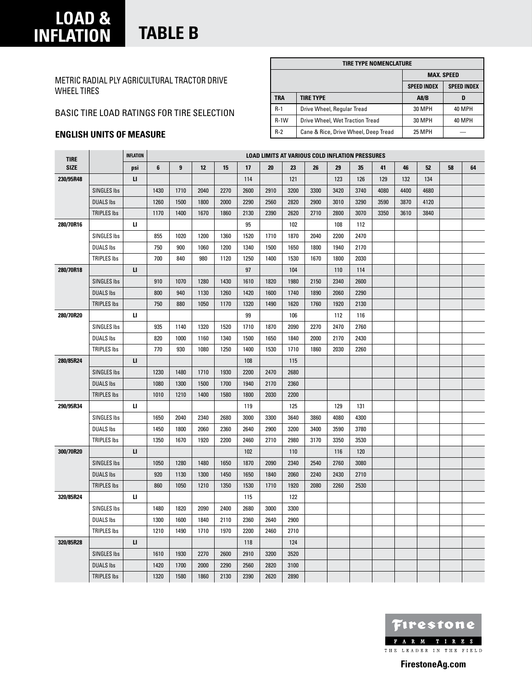### **load & inflation table B**

Metric Radial PLY Agricultural Tractor Drive Wheel Tires

### Basic Tire load ratings for tire selection

 $\mathbf{r}$ 

### **English units of measure**

|        | TIRE TYPE NOMENCLATURE               |                    |                    |
|--------|--------------------------------------|--------------------|--------------------|
|        |                                      |                    | <b>MAX. SPEED</b>  |
|        |                                      | <b>SPEED INDEX</b> | <b>SPEED INDEX</b> |
| TRA    | <b>TIRE TYPE</b>                     | A8/B               | D                  |
| $R-1$  | Drive Wheel, Regular Tread           | 30 MPH             | 40 MPH             |
| $R-1W$ | Drive Wheel, Wet Traction Tread      | 30 MPH             | 40 MPH             |
| $R-2$  | Cane & Rice, Drive Wheel, Deep Tread | <b>25 MPH</b>      |                    |

| <b>TIRE</b> |                    | <b>INFLATION</b> |      |      |      |      |      | <b>LOAD LIMITS AT VARIOUS COLD INFLATION PRESSURES</b> |      |      |      |      |      |      |      |    |    |
|-------------|--------------------|------------------|------|------|------|------|------|--------------------------------------------------------|------|------|------|------|------|------|------|----|----|
| <b>SIZE</b> |                    | psi              | 6    | 9    | 12   | 15   | 17   | 20                                                     | 23   | 26   | 29   | 35   | 41   | 46   | 52   | 58 | 64 |
| 230/95R48   |                    | п                |      |      |      |      | 114  |                                                        | 121  |      | 123  | 126  | 129  | 132  | 134  |    |    |
|             | <b>SINGLES Ibs</b> |                  | 1430 | 1710 | 2040 | 2270 | 2600 | 2910                                                   | 3200 | 3300 | 3420 | 3740 | 4080 | 4400 | 4680 |    |    |
|             | <b>DUALS Ibs</b>   |                  | 1260 | 1500 | 1800 | 2000 | 2290 | 2560                                                   | 2820 | 2900 | 3010 | 3290 | 3590 | 3870 | 4120 |    |    |
|             | <b>TRIPLES Ibs</b> |                  | 1170 | 1400 | 1670 | 1860 | 2130 | 2390                                                   | 2620 | 2710 | 2800 | 3070 | 3350 | 3610 | 3840 |    |    |
| 280/70R16   |                    | и                |      |      |      |      | 95   |                                                        | 102  |      | 108  | 112  |      |      |      |    |    |
|             | <b>SINGLES Ibs</b> |                  | 855  | 1020 | 1200 | 1360 | 1520 | 1710                                                   | 1870 | 2040 | 2200 | 2470 |      |      |      |    |    |
|             | <b>DUALS Ibs</b>   |                  | 750  | 900  | 1060 | 1200 | 1340 | 1500                                                   | 1650 | 1800 | 1940 | 2170 |      |      |      |    |    |
|             | <b>TRIPLES Ibs</b> |                  | 700  | 840  | 980  | 1120 | 1250 | 1400                                                   | 1530 | 1670 | 1800 | 2030 |      |      |      |    |    |
| 280/70R18   |                    | $\mathbf{u}$     |      |      |      |      | 97   |                                                        | 104  |      | 110  | 114  |      |      |      |    |    |
|             | <b>SINGLES Ibs</b> |                  | 910  | 1070 | 1280 | 1430 | 1610 | 1820                                                   | 1980 | 2150 | 2340 | 2600 |      |      |      |    |    |
|             | <b>DUALS Ibs</b>   |                  | 800  | 940  | 1130 | 1260 | 1420 | 1600                                                   | 1740 | 1890 | 2060 | 2290 |      |      |      |    |    |
|             | <b>TRIPLES Ibs</b> |                  | 750  | 880  | 1050 | 1170 | 1320 | 1490                                                   | 1620 | 1760 | 1920 | 2130 |      |      |      |    |    |
| 280/70R20   |                    | Ц                |      |      |      |      | 99   |                                                        | 106  |      | 112  | 116  |      |      |      |    |    |
|             | SINGLES Ibs        |                  | 935  | 1140 | 1320 | 1520 | 1710 | 1870                                                   | 2090 | 2270 | 2470 | 2760 |      |      |      |    |    |
|             | <b>DUALS Ibs</b>   |                  | 820  | 1000 | 1160 | 1340 | 1500 | 1650                                                   | 1840 | 2000 | 2170 | 2430 |      |      |      |    |    |
|             | <b>TRIPLES Ibs</b> |                  | 770  | 930  | 1080 | 1250 | 1400 | 1530                                                   | 1710 | 1860 | 2030 | 2260 |      |      |      |    |    |
| 280/85R24   |                    | $\mathbf{u}$     |      |      |      |      | 108  |                                                        | 115  |      |      |      |      |      |      |    |    |
|             | <b>SINGLES Ibs</b> |                  | 1230 | 1480 | 1710 | 1930 | 2200 | 2470                                                   | 2680 |      |      |      |      |      |      |    |    |
|             | <b>DUALS Ibs</b>   |                  | 1080 | 1300 | 1500 | 1700 | 1940 | 2170                                                   | 2360 |      |      |      |      |      |      |    |    |
|             | <b>TRIPLES Ibs</b> |                  | 1010 | 1210 | 1400 | 1580 | 1800 | 2030                                                   | 2200 |      |      |      |      |      |      |    |    |
| 290/95R34   |                    | и                |      |      |      |      | 119  |                                                        | 125  |      | 129  | 131  |      |      |      |    |    |
|             | SINGLES Ibs        |                  | 1650 | 2040 | 2340 | 2680 | 3000 | 3300                                                   | 3640 | 3860 | 4080 | 4300 |      |      |      |    |    |
|             | <b>DUALS Ibs</b>   |                  | 1450 | 1800 | 2060 | 2360 | 2640 | 2900                                                   | 3200 | 3400 | 3590 | 3780 |      |      |      |    |    |
|             | <b>TRIPLES Ibs</b> |                  | 1350 | 1670 | 1920 | 2200 | 2460 | 2710                                                   | 2980 | 3170 | 3350 | 3530 |      |      |      |    |    |
| 300/70R20   |                    | п                |      |      |      |      | 102  |                                                        | 110  |      | 116  | 120  |      |      |      |    |    |
|             | <b>SINGLES Ibs</b> |                  | 1050 | 1280 | 1480 | 1650 | 1870 | 2090                                                   | 2340 | 2540 | 2760 | 3080 |      |      |      |    |    |
|             | <b>DUALS Ibs</b>   |                  | 920  | 1130 | 1300 | 1450 | 1650 | 1840                                                   | 2060 | 2240 | 2430 | 2710 |      |      |      |    |    |
|             | <b>TRIPLES Ibs</b> |                  | 860  | 1050 | 1210 | 1350 | 1530 | 1710                                                   | 1920 | 2080 | 2260 | 2530 |      |      |      |    |    |
| 320/85R24   |                    | и                |      |      |      |      | 115  |                                                        | 122  |      |      |      |      |      |      |    |    |
|             | SINGLES Ibs        |                  | 1480 | 1820 | 2090 | 2400 | 2680 | 3000                                                   | 3300 |      |      |      |      |      |      |    |    |
|             | <b>DUALS Ibs</b>   |                  | 1300 | 1600 | 1840 | 2110 | 2360 | 2640                                                   | 2900 |      |      |      |      |      |      |    |    |
|             | TRIPLES Ibs        |                  | 1210 | 1490 | 1710 | 1970 | 2200 | 2460                                                   | 2710 |      |      |      |      |      |      |    |    |
| 320/85R28   |                    | $\mathbf{u}$     |      |      |      |      | 118  |                                                        | 124  |      |      |      |      |      |      |    |    |
|             | <b>SINGLES Ibs</b> |                  | 1610 | 1930 | 2270 | 2600 | 2910 | 3200                                                   | 3520 |      |      |      |      |      |      |    |    |
|             | <b>DUALS Ibs</b>   |                  | 1420 | 1700 | 2000 | 2290 | 2560 | 2820                                                   | 3100 |      |      |      |      |      |      |    |    |
|             | <b>TRIPLES Ibs</b> |                  | 1320 | 1580 | 1860 | 2130 | 2390 | 2620                                                   | 2890 |      |      |      |      |      |      |    |    |

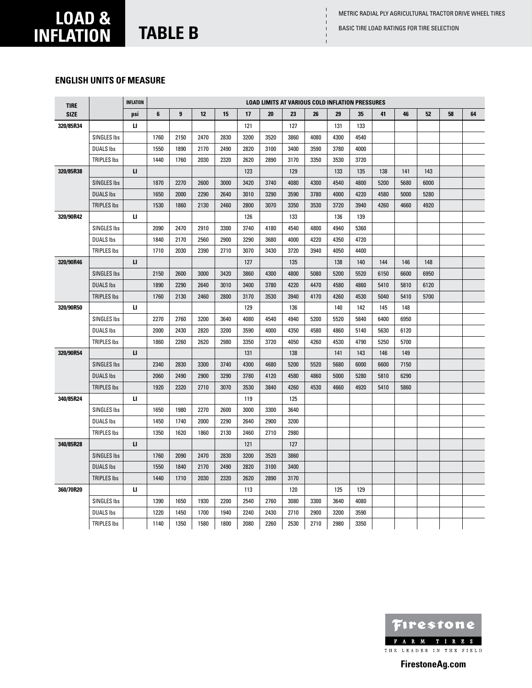Basic Tire load ratings for tire selection

 $\mathbf{I}$ 

# **load & inflation table B**

### **English units of measure**

| <b>TIRE</b> |                    | <b>INFLATION</b> |      |      |      |      |      | <b>LOAD LIMITS AT VARIOUS COLD INFLATION PRESSURES</b> |      |      |      |      |      |      |      |    |    |
|-------------|--------------------|------------------|------|------|------|------|------|--------------------------------------------------------|------|------|------|------|------|------|------|----|----|
| <b>SIZE</b> |                    | psi              | 6    | 9    | 12   | 15   | 17   | 20                                                     | 23   | 26   | 29   | 35   | 41   | 46   | 52   | 58 | 64 |
| 320/85R34   |                    | ш                |      |      |      |      | 121  |                                                        | 127  |      | 131  | 133  |      |      |      |    |    |
|             | SINGLES Ibs        |                  | 1760 | 2150 | 2470 | 2830 | 3200 | 3520                                                   | 3860 | 4080 | 4300 | 4540 |      |      |      |    |    |
|             | <b>DUALS Ibs</b>   |                  | 1550 | 1890 | 2170 | 2490 | 2820 | 3100                                                   | 3400 | 3590 | 3780 | 4000 |      |      |      |    |    |
|             | <b>TRIPLES Ibs</b> |                  | 1440 | 1760 | 2030 | 2320 | 2620 | 2890                                                   | 3170 | 3350 | 3530 | 3720 |      |      |      |    |    |
| 320/85R38   |                    | $\mathbf{u}$     |      |      |      |      | 123  |                                                        | 129  |      | 133  | 135  | 138  | 141  | 143  |    |    |
|             | <b>SINGLES Ibs</b> |                  | 1870 | 2270 | 2600 | 3000 | 3420 | 3740                                                   | 4080 | 4300 | 4540 | 4800 | 5200 | 5680 | 6000 |    |    |
|             | <b>DUALS Ibs</b>   |                  | 1650 | 2000 | 2290 | 2640 | 3010 | 3290                                                   | 3590 | 3780 | 4000 | 4220 | 4580 | 5000 | 5280 |    |    |
|             | <b>TRIPLES Ibs</b> |                  | 1530 | 1860 | 2130 | 2460 | 2800 | 3070                                                   | 3350 | 3530 | 3720 | 3940 | 4260 | 4660 | 4920 |    |    |
| 320/90R42   |                    | ш                |      |      |      |      | 126  |                                                        | 133  |      | 136  | 139  |      |      |      |    |    |
|             | SINGLES Ibs        |                  | 2090 | 2470 | 2910 | 3300 | 3740 | 4180                                                   | 4540 | 4800 | 4940 | 5360 |      |      |      |    |    |
|             | <b>DUALS lbs</b>   |                  | 1840 | 2170 | 2560 | 2900 | 3290 | 3680                                                   | 4000 | 4220 | 4350 | 4720 |      |      |      |    |    |
|             | <b>TRIPLES Ibs</b> |                  | 1710 | 2030 | 2390 | 2710 | 3070 | 3430                                                   | 3720 | 3940 | 4050 | 4400 |      |      |      |    |    |
| 320/90R46   |                    | п                |      |      |      |      | 127  |                                                        | 135  |      | 138  | 140  | 144  | 146  | 148  |    |    |
|             | <b>SINGLES Ibs</b> |                  | 2150 | 2600 | 3000 | 3420 | 3860 | 4300                                                   | 4800 | 5080 | 5200 | 5520 | 6150 | 6600 | 6950 |    |    |
|             | <b>DUALS Ibs</b>   |                  | 1890 | 2290 | 2640 | 3010 | 3400 | 3780                                                   | 4220 | 4470 | 4580 | 4860 | 5410 | 5810 | 6120 |    |    |
|             | <b>TRIPLES Ibs</b> |                  | 1760 | 2130 | 2460 | 2800 | 3170 | 3530                                                   | 3940 | 4170 | 4260 | 4530 | 5040 | 5410 | 5700 |    |    |
| 320/90R50   |                    | ш                |      |      |      |      | 129  |                                                        | 136  |      | 140  | 142  | 145  | 148  |      |    |    |
|             | <b>SINGLES Ibs</b> |                  | 2270 | 2760 | 3200 | 3640 | 4080 | 4540                                                   | 4940 | 5200 | 5520 | 5840 | 6400 | 6950 |      |    |    |
|             | <b>DUALS Ibs</b>   |                  | 2000 | 2430 | 2820 | 3200 | 3590 | 4000                                                   | 4350 | 4580 | 4860 | 5140 | 5630 | 6120 |      |    |    |
|             | <b>TRIPLES Ibs</b> |                  | 1860 | 2260 | 2620 | 2980 | 3350 | 3720                                                   | 4050 | 4260 | 4530 | 4790 | 5250 | 5700 |      |    |    |
| 320/90R54   |                    | $\mathbf{u}$     |      |      |      |      | 131  |                                                        | 138  |      | 141  | 143  | 146  | 149  |      |    |    |
|             | <b>SINGLES Ibs</b> |                  | 2340 | 2830 | 3300 | 3740 | 4300 | 4680                                                   | 5200 | 5520 | 5680 | 6000 | 6600 | 7150 |      |    |    |
|             | <b>DUALS Ibs</b>   |                  | 2060 | 2490 | 2900 | 3290 | 3780 | 4120                                                   | 4580 | 4860 | 5000 | 5280 | 5810 | 6290 |      |    |    |
|             | <b>TRIPLES Ibs</b> |                  | 1920 | 2320 | 2710 | 3070 | 3530 | 3840                                                   | 4260 | 4530 | 4660 | 4920 | 5410 | 5860 |      |    |    |
| 340/85R24   |                    | Ц                |      |      |      |      | 119  |                                                        | 125  |      |      |      |      |      |      |    |    |
|             | SINGLES Ibs        |                  | 1650 | 1980 | 2270 | 2600 | 3000 | 3300                                                   | 3640 |      |      |      |      |      |      |    |    |
|             | <b>DUALS lbs</b>   |                  | 1450 | 1740 | 2000 | 2290 | 2640 | 2900                                                   | 3200 |      |      |      |      |      |      |    |    |
|             | <b>TRIPLES Ibs</b> |                  | 1350 | 1620 | 1860 | 2130 | 2460 | 2710                                                   | 2980 |      |      |      |      |      |      |    |    |
| 340/85R28   |                    | п                |      |      |      |      | 121  |                                                        | 127  |      |      |      |      |      |      |    |    |
|             | <b>SINGLES Ibs</b> |                  | 1760 | 2090 | 2470 | 2830 | 3200 | 3520                                                   | 3860 |      |      |      |      |      |      |    |    |
|             | <b>DUALS Ibs</b>   |                  | 1550 | 1840 | 2170 | 2490 | 2820 | 3100                                                   | 3400 |      |      |      |      |      |      |    |    |
|             | <b>TRIPLES Ibs</b> |                  | 1440 | 1710 | 2030 | 2320 | 2620 | 2890                                                   | 3170 |      |      |      |      |      |      |    |    |
| 360/70R20   |                    | ш                |      |      |      |      | 113  |                                                        | 120  |      | 125  | 129  |      |      |      |    |    |
|             | <b>SINGLES Ibs</b> |                  | 1390 | 1650 | 1930 | 2200 | 2540 | 2760                                                   | 3080 | 3300 | 3640 | 4080 |      |      |      |    |    |
|             | <b>DUALS Ibs</b>   |                  | 1220 | 1450 | 1700 | 1940 | 2240 | 2430                                                   | 2710 | 2900 | 3200 | 3590 |      |      |      |    |    |
|             | <b>TRIPLES Ibs</b> |                  | 1140 | 1350 | 1580 | 1800 | 2080 | 2260                                                   | 2530 | 2710 | 2980 | 3350 |      |      |      |    |    |

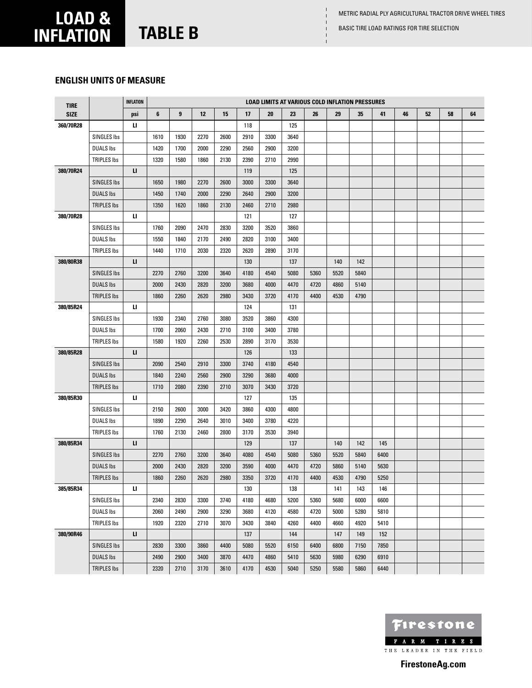Basic Tire load ratings for tire selection

# **load & inflation table B**

### **English units of measure**

| <b>TIRE</b> |                    | <b>INFLATION</b> |      |      |      |      |      | <b>LOAD LIMITS AT VARIOUS COLD INFLATION PRESSURES</b> |      |      |      |      |      |    |    |    |    |
|-------------|--------------------|------------------|------|------|------|------|------|--------------------------------------------------------|------|------|------|------|------|----|----|----|----|
| <b>SIZE</b> |                    | psi              | 6    | 9    | 12   | 15   | 17   | 20                                                     | 23   | 26   | 29   | 35   | 41   | 46 | 52 | 58 | 64 |
| 360/70R28   |                    | п                |      |      |      |      | 118  |                                                        | 125  |      |      |      |      |    |    |    |    |
|             | SINGLES Ibs        |                  | 1610 | 1930 | 2270 | 2600 | 2910 | 3300                                                   | 3640 |      |      |      |      |    |    |    |    |
|             | <b>DUALS Ibs</b>   |                  | 1420 | 1700 | 2000 | 2290 | 2560 | 2900                                                   | 3200 |      |      |      |      |    |    |    |    |
|             | <b>TRIPLES Ibs</b> |                  | 1320 | 1580 | 1860 | 2130 | 2390 | 2710                                                   | 2990 |      |      |      |      |    |    |    |    |
| 380/70R24   |                    | п                |      |      |      |      | 119  |                                                        | 125  |      |      |      |      |    |    |    |    |
|             | <b>SINGLES Ibs</b> |                  | 1650 | 1980 | 2270 | 2600 | 3000 | 3300                                                   | 3640 |      |      |      |      |    |    |    |    |
|             | <b>DUALS Ibs</b>   |                  | 1450 | 1740 | 2000 | 2290 | 2640 | 2900                                                   | 3200 |      |      |      |      |    |    |    |    |
|             | <b>TRIPLES Ibs</b> |                  | 1350 | 1620 | 1860 | 2130 | 2460 | 2710                                                   | 2980 |      |      |      |      |    |    |    |    |
| 380/70R28   |                    | Ц                |      |      |      |      | 121  |                                                        | 127  |      |      |      |      |    |    |    |    |
|             | SINGLES Ibs        |                  | 1760 | 2090 | 2470 | 2830 | 3200 | 3520                                                   | 3860 |      |      |      |      |    |    |    |    |
|             | <b>DUALS Ibs</b>   |                  | 1550 | 1840 | 2170 | 2490 | 2820 | 3100                                                   | 3400 |      |      |      |      |    |    |    |    |
|             | <b>TRIPLES Ibs</b> |                  | 1440 | 1710 | 2030 | 2320 | 2620 | 2890                                                   | 3170 |      |      |      |      |    |    |    |    |
| 380/80R38   |                    | п                |      |      |      |      | 130  |                                                        | 137  |      | 140  | 142  |      |    |    |    |    |
|             | <b>SINGLES Ibs</b> |                  | 2270 | 2760 | 3200 | 3640 | 4180 | 4540                                                   | 5080 | 5360 | 5520 | 5840 |      |    |    |    |    |
|             | <b>DUALS Ibs</b>   |                  | 2000 | 2430 | 2820 | 3200 | 3680 | 4000                                                   | 4470 | 4720 | 4860 | 5140 |      |    |    |    |    |
|             | <b>TRIPLES Ibs</b> |                  | 1860 | 2260 | 2620 | 2980 | 3430 | 3720                                                   | 4170 | 4400 | 4530 | 4790 |      |    |    |    |    |
| 380/85R24   |                    | и                |      |      |      |      | 124  |                                                        | 131  |      |      |      |      |    |    |    |    |
|             | SINGLES Ibs        |                  | 1930 | 2340 | 2760 | 3080 | 3520 | 3860                                                   | 4300 |      |      |      |      |    |    |    |    |
|             | <b>DUALS Ibs</b>   |                  | 1700 | 2060 | 2430 | 2710 | 3100 | 3400                                                   | 3780 |      |      |      |      |    |    |    |    |
|             | <b>TRIPLES Ibs</b> |                  | 1580 | 1920 | 2260 | 2530 | 2890 | 3170                                                   | 3530 |      |      |      |      |    |    |    |    |
| 380/85R28   |                    | п                |      |      |      |      | 126  |                                                        | 133  |      |      |      |      |    |    |    |    |
|             | <b>SINGLES Ibs</b> |                  | 2090 | 2540 | 2910 | 3300 | 3740 | 4180                                                   | 4540 |      |      |      |      |    |    |    |    |
|             | <b>DUALS Ibs</b>   |                  | 1840 | 2240 | 2560 | 2900 | 3290 | 3680                                                   | 4000 |      |      |      |      |    |    |    |    |
|             | <b>TRIPLES Ibs</b> |                  | 1710 | 2080 | 2390 | 2710 | 3070 | 3430                                                   | 3720 |      |      |      |      |    |    |    |    |
| 380/85R30   |                    | п                |      |      |      |      | 127  |                                                        | 135  |      |      |      |      |    |    |    |    |
|             | SINGLES Ibs        |                  | 2150 | 2600 | 3000 | 3420 | 3860 | 4300                                                   | 4800 |      |      |      |      |    |    |    |    |
|             | <b>DUALS Ibs</b>   |                  | 1890 | 2290 | 2640 | 3010 | 3400 | 3780                                                   | 4220 |      |      |      |      |    |    |    |    |
|             | <b>TRIPLES Ibs</b> |                  | 1760 | 2130 | 2460 | 2800 | 3170 | 3530                                                   | 3940 |      |      |      |      |    |    |    |    |
| 380/85R34   |                    | п                |      |      |      |      | 129  |                                                        | 137  |      | 140  | 142  | 145  |    |    |    |    |
|             | <b>SINGLES Ibs</b> |                  | 2270 | 2760 | 3200 | 3640 | 4080 | 4540                                                   | 5080 | 5360 | 5520 | 5840 | 6400 |    |    |    |    |
|             | <b>DUALS Ibs</b>   |                  | 2000 | 2430 | 2820 | 3200 | 3590 | 4000                                                   | 4470 | 4720 | 5860 | 5140 | 5630 |    |    |    |    |
|             | <b>TRIPLES Ibs</b> |                  | 1860 | 2260 | 2620 | 2980 | 3350 | 3720                                                   | 4170 | 4400 | 4530 | 4790 | 5250 |    |    |    |    |
| 385/85R34   |                    | п                |      |      |      |      | 130  |                                                        | 138  |      | 141  | 143  | 146  |    |    |    |    |
|             | SINGLES Ibs        |                  | 2340 | 2830 | 3300 | 3740 | 4180 | 4680                                                   | 5200 | 5360 | 5680 | 6000 | 6600 |    |    |    |    |
|             | <b>DUALS Ibs</b>   |                  | 2060 | 2490 | 2900 | 3290 | 3680 | 4120                                                   | 4580 | 4720 | 5000 | 5280 | 5810 |    |    |    |    |
|             | TRIPLES Ibs        |                  | 1920 | 2320 | 2710 | 3070 | 3430 | 3840                                                   | 4260 | 4400 | 4660 | 4920 | 5410 |    |    |    |    |
| 380/90R46   |                    | п                |      |      |      |      | 137  |                                                        | 144  |      | 147  | 149  | 152  |    |    |    |    |
|             | <b>SINGLES Ibs</b> |                  | 2830 | 3300 | 3860 | 4400 | 5080 | 5520                                                   | 6150 | 6400 | 6800 | 7150 | 7850 |    |    |    |    |
|             | <b>DUALS Ibs</b>   |                  | 2490 | 2900 | 3400 | 3870 | 4470 | 4860                                                   | 5410 | 5630 | 5980 | 6290 | 6910 |    |    |    |    |
|             | TRIPLES Ibs        |                  | 2320 | 2710 | 3170 | 3610 | 4170 | 4530                                                   | 5040 | 5250 | 5580 | 5860 | 6440 |    |    |    |    |

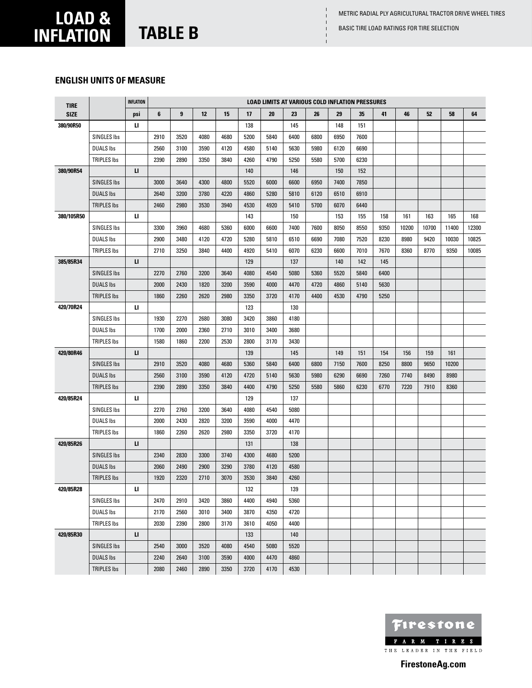Basic Tire load ratings for tire selection

# **load & inflation table B**

### **English units of measure**

| <b>TIRE</b> |                    | <b>INFLATION</b>                  |         |                         |      |      |      |      | <b>LOAD LIMITS AT VARIOUS COLD INFLATION PRESSURES</b> |      |      |      |      |       |       |       |       |
|-------------|--------------------|-----------------------------------|---------|-------------------------|------|------|------|------|--------------------------------------------------------|------|------|------|------|-------|-------|-------|-------|
| <b>SIZE</b> |                    | psi                               | $\bf 6$ | $\overline{\mathbf{9}}$ | 12   | 15   | 17   | 20   | 23                                                     | 26   | 29   | 35   | 41   | 46    | 52    | 58    | 64    |
| 380/90R50   |                    | ц                                 |         |                         |      |      | 138  |      | 145                                                    |      | 148  | 151  |      |       |       |       |       |
|             | SINGLES Ibs        |                                   | 2910    | 3520                    | 4080 | 4680 | 5200 | 5840 | 6400                                                   | 6800 | 6950 | 7600 |      |       |       |       |       |
|             | <b>DUALS Ibs</b>   |                                   | 2560    | 3100                    | 3590 | 4120 | 4580 | 5140 | 5630                                                   | 5980 | 6120 | 6690 |      |       |       |       |       |
|             | <b>TRIPLES Ibs</b> |                                   | 2390    | 2890                    | 3350 | 3840 | 4260 | 4790 | 5250                                                   | 5580 | 5700 | 6230 |      |       |       |       |       |
| 380/90R54   |                    | п                                 |         |                         |      |      | 140  |      | 146                                                    |      | 150  | 152  |      |       |       |       |       |
|             | <b>SINGLES Ibs</b> |                                   | 3000    | 3640                    | 4300 | 4800 | 5520 | 6000 | 6600                                                   | 6950 | 7400 | 7850 |      |       |       |       |       |
|             | <b>DUALS Ibs</b>   |                                   | 2640    | 3200                    | 3780 | 4220 | 4860 | 5280 | 5810                                                   | 6120 | 6510 | 6910 |      |       |       |       |       |
|             | TRIPLES Ibs        |                                   | 2460    | 2980                    | 3530 | 3940 | 4530 | 4920 | 5410                                                   | 5700 | 6070 | 6440 |      |       |       |       |       |
| 380/105R50  |                    | и                                 |         |                         |      |      | 143  |      | 150                                                    |      | 153  | 155  | 158  | 161   | 163   | 165   | 168   |
|             | SINGLES Ibs        |                                   | 3300    | 3960                    | 4680 | 5360 | 6000 | 6600 | 7400                                                   | 7600 | 8050 | 8550 | 9350 | 10200 | 10700 | 11400 | 12300 |
|             | <b>DUALS Ibs</b>   |                                   | 2900    | 3480                    | 4120 | 4720 | 5280 | 5810 | 6510                                                   | 6690 | 7080 | 7520 | 8230 | 8980  | 9420  | 10030 | 10825 |
|             | <b>TRIPLES Ibs</b> |                                   | 2710    | 3250                    | 3840 | 4400 | 4920 | 5410 | 6070                                                   | 6230 | 6600 | 7010 | 7670 | 8360  | 8770  | 9350  | 10085 |
| 385/85R34   |                    | п                                 |         |                         |      |      | 129  |      | 137                                                    |      | 140  | 142  | 145  |       |       |       |       |
|             | <b>SINGLES Ibs</b> |                                   | 2270    | 2760                    | 3200 | 3640 | 4080 | 4540 | 5080                                                   | 5360 | 5520 | 5840 | 6400 |       |       |       |       |
|             | <b>DUALS Ibs</b>   |                                   | 2000    | 2430                    | 1820 | 3200 | 3590 | 4000 | 4470                                                   | 4720 | 4860 | 5140 | 5630 |       |       |       |       |
|             | <b>TRIPLES Ibs</b> |                                   | 1860    | 2260                    | 2620 | 2980 | 3350 | 3720 | 4170                                                   | 4400 | 4530 | 4790 | 5250 |       |       |       |       |
| 420/70R24   |                    | и                                 |         |                         |      |      | 123  |      | 130                                                    |      |      |      |      |       |       |       |       |
|             | SINGLES Ibs        |                                   | 1930    | 2270                    | 2680 | 3080 | 3420 | 3860 | 4180                                                   |      |      |      |      |       |       |       |       |
|             | <b>DUALS Ibs</b>   |                                   | 1700    | 2000                    | 2360 | 2710 | 3010 | 3400 | 3680                                                   |      |      |      |      |       |       |       |       |
|             | TRIPLES Ibs        |                                   | 1580    | 1860                    | 2200 | 2530 | 2800 | 3170 | 3430                                                   |      |      |      |      |       |       |       |       |
| 420/80R46   |                    | п                                 |         |                         |      |      | 139  |      | 145                                                    |      | 149  | 151  | 154  | 156   | 159   | 161   |       |
|             | <b>SINGLES Ibs</b> |                                   | 2910    | 3520                    | 4080 | 4680 | 5360 | 5840 | 6400                                                   | 6800 | 7150 | 7600 | 8250 | 8800  | 9650  | 10200 |       |
|             | <b>DUALS Ibs</b>   |                                   | 2560    | 3100                    | 3590 | 4120 | 4720 | 5140 | 5630                                                   | 5980 | 6290 | 6690 | 7260 | 7740  | 8490  | 8980  |       |
|             | <b>TRIPLES Ibs</b> |                                   | 2390    | 2890                    | 3350 | 3840 | 4400 | 4790 | 5250                                                   | 5580 | 5860 | 6230 | 6770 | 7220  | 7910  | 8360  |       |
| 420/85R24   |                    | ц                                 |         |                         |      |      | 129  |      | 137                                                    |      |      |      |      |       |       |       |       |
|             | SINGLES Ibs        |                                   | 2270    | 2760                    | 3200 | 3640 | 4080 | 4540 | 5080                                                   |      |      |      |      |       |       |       |       |
|             | <b>DUALS Ibs</b>   |                                   | 2000    | 2430                    | 2820 | 3200 | 3590 | 4000 | 4470                                                   |      |      |      |      |       |       |       |       |
|             | TRIPLES Ibs        |                                   | 1860    | 2260                    | 2620 | 2980 | 3350 | 3720 | 4170                                                   |      |      |      |      |       |       |       |       |
| 420/85R26   |                    | п                                 |         |                         |      |      | 131  |      | 138                                                    |      |      |      |      |       |       |       |       |
|             | <b>SINGLES Ibs</b> |                                   | 2340    | 2830                    | 3300 | 3740 | 4300 | 4680 | 5200                                                   |      |      |      |      |       |       |       |       |
|             | <b>DUALS Ibs</b>   |                                   | 2060    | 2490                    | 2900 | 3290 | 3780 | 4120 | 4580                                                   |      |      |      |      |       |       |       |       |
|             | TRIPLES Ibs        |                                   | 1920    | 2320                    | 2710 | 3070 | 3530 | 3840 | 4260                                                   |      |      |      |      |       |       |       |       |
| 420/85R28   |                    | $\mathbf{U}% _{t}\left( t\right)$ |         |                         |      |      | 132  |      | 139                                                    |      |      |      |      |       |       |       |       |
|             | SINGLES Ibs        |                                   | 2470    | 2910                    | 3420 | 3860 | 4400 | 4940 | 5360                                                   |      |      |      |      |       |       |       |       |
|             | <b>DUALS Ibs</b>   |                                   | 2170    | 2560                    | 3010 | 3400 | 3870 | 4350 | 4720                                                   |      |      |      |      |       |       |       |       |
|             | TRIPLES Ibs        |                                   | 2030    | 2390                    | 2800 | 3170 | 3610 | 4050 | 4400                                                   |      |      |      |      |       |       |       |       |
| 420/85R30   |                    | п                                 |         |                         |      |      | 133  |      | 140                                                    |      |      |      |      |       |       |       |       |
|             | <b>SINGLES Ibs</b> |                                   | 2540    | 3000                    | 3520 | 4080 | 4540 | 5080 | 5520                                                   |      |      |      |      |       |       |       |       |
|             | <b>DUALS Ibs</b>   |                                   | 2240    | 2640                    | 3100 | 3590 | 4000 | 4470 | 4860                                                   |      |      |      |      |       |       |       |       |
|             | <b>TRIPLES Ibs</b> |                                   | 2080    | 2460                    | 2890 | 3350 | 3720 | 4170 | 4530                                                   |      |      |      |      |       |       |       |       |

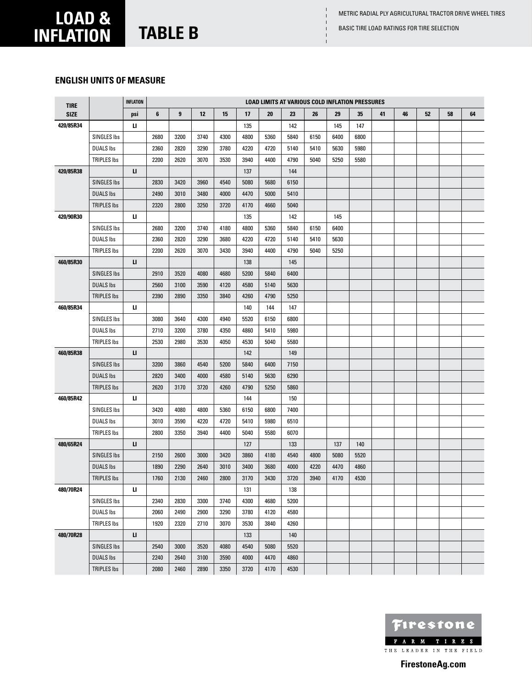Basic Tire load ratings for tire selection

# **load & inflation table B**

### **English units of measure**

| <b>TIRE</b> |                    | <b>INFLATION</b> |      |      |      |      |      | <b>LOAD LIMITS AT VARIOUS COLD INFLATION PRESSURES</b> |      |      |      |      |    |    |    |    |    |
|-------------|--------------------|------------------|------|------|------|------|------|--------------------------------------------------------|------|------|------|------|----|----|----|----|----|
| <b>SIZE</b> |                    | psi              | 6    | 9    | 12   | 15   | 17   | 20                                                     | 23   | 26   | 29   | 35   | 41 | 46 | 52 | 58 | 64 |
| 420/85R34   |                    | u.               |      |      |      |      | 135  |                                                        | 142  |      | 145  | 147  |    |    |    |    |    |
|             | <b>SINGLES Ibs</b> |                  | 2680 | 3200 | 3740 | 4300 | 4800 | 5360                                                   | 5840 | 6150 | 6400 | 6800 |    |    |    |    |    |
|             | <b>DUALS Ibs</b>   |                  | 2360 | 2820 | 3290 | 3780 | 4220 | 4720                                                   | 5140 | 5410 | 5630 | 5980 |    |    |    |    |    |
|             | <b>TRIPLES Ibs</b> |                  | 2200 | 2620 | 3070 | 3530 | 3940 | 4400                                                   | 4790 | 5040 | 5250 | 5580 |    |    |    |    |    |
| 420/85R38   |                    | п                |      |      |      |      | 137  |                                                        | 144  |      |      |      |    |    |    |    |    |
|             | <b>SINGLES Ibs</b> |                  | 2830 | 3420 | 3960 | 4540 | 5080 | 5680                                                   | 6150 |      |      |      |    |    |    |    |    |
|             | <b>DUALS Ibs</b>   |                  | 2490 | 3010 | 3480 | 4000 | 4470 | 5000                                                   | 5410 |      |      |      |    |    |    |    |    |
|             | TRIPLES Ibs        |                  | 2320 | 2800 | 3250 | 3720 | 4170 | 4660                                                   | 5040 |      |      |      |    |    |    |    |    |
| 420/90R30   |                    | ш                |      |      |      |      | 135  |                                                        | 142  |      | 145  |      |    |    |    |    |    |
|             | <b>SINGLES Ibs</b> |                  | 2680 | 3200 | 3740 | 4180 | 4800 | 5360                                                   | 5840 | 6150 | 6400 |      |    |    |    |    |    |
|             | <b>DUALS Ibs</b>   |                  | 2360 | 2820 | 3290 | 3680 | 4220 | 4720                                                   | 5140 | 5410 | 5630 |      |    |    |    |    |    |
|             | TRIPLES Ibs        |                  | 2200 | 2620 | 3070 | 3430 | 3940 | 4400                                                   | 4790 | 5040 | 5250 |      |    |    |    |    |    |
| 460/85R30   |                    | п                |      |      |      |      | 138  |                                                        | 145  |      |      |      |    |    |    |    |    |
|             | <b>SINGLES Ibs</b> |                  | 2910 | 3520 | 4080 | 4680 | 5200 | 5840                                                   | 6400 |      |      |      |    |    |    |    |    |
|             | <b>DUALS Ibs</b>   |                  | 2560 | 3100 | 3590 | 4120 | 4580 | 5140                                                   | 5630 |      |      |      |    |    |    |    |    |
|             | <b>TRIPLES Ibs</b> |                  | 2390 | 2890 | 3350 | 3840 | 4260 | 4790                                                   | 5250 |      |      |      |    |    |    |    |    |
| 460/85R34   |                    | ш                |      |      |      |      | 140  | 144                                                    | 147  |      |      |      |    |    |    |    |    |
|             | <b>SINGLES Ibs</b> |                  | 3080 | 3640 | 4300 | 4940 | 5520 | 6150                                                   | 6800 |      |      |      |    |    |    |    |    |
|             | <b>DUALS Ibs</b>   |                  | 2710 | 3200 | 3780 | 4350 | 4860 | 5410                                                   | 5980 |      |      |      |    |    |    |    |    |
|             | <b>TRIPLES Ibs</b> |                  | 2530 | 2980 | 3530 | 4050 | 4530 | 5040                                                   | 5580 |      |      |      |    |    |    |    |    |
| 460/85R38   |                    | п                |      |      |      |      | 142  |                                                        | 149  |      |      |      |    |    |    |    |    |
|             | <b>SINGLES Ibs</b> |                  | 3200 | 3860 | 4540 | 5200 | 5840 | 6400                                                   | 7150 |      |      |      |    |    |    |    |    |
|             | <b>DUALS Ibs</b>   |                  | 2820 | 3400 | 4000 | 4580 | 5140 | 5630                                                   | 6290 |      |      |      |    |    |    |    |    |
|             | <b>TRIPLES Ibs</b> |                  | 2620 | 3170 | 3720 | 4260 | 4790 | 5250                                                   | 5860 |      |      |      |    |    |    |    |    |
| 460/85R42   |                    | IJ.              |      |      |      |      | 144  |                                                        | 150  |      |      |      |    |    |    |    |    |
|             | SINGLES Ibs        |                  | 3420 | 4080 | 4800 | 5360 | 6150 | 6800                                                   | 7400 |      |      |      |    |    |    |    |    |
|             | <b>DUALS Ibs</b>   |                  | 3010 | 3590 | 4220 | 4720 | 5410 | 5980                                                   | 6510 |      |      |      |    |    |    |    |    |
|             | <b>TRIPLES Ibs</b> |                  | 2800 | 3350 | 3940 | 4400 | 5040 | 5580                                                   | 6070 |      |      |      |    |    |    |    |    |
| 480/65R24   |                    | п                |      |      |      |      | 127  |                                                        | 133  |      | 137  | 140  |    |    |    |    |    |
|             | SINGLES Ibs        |                  | 2150 | 2600 | 3000 | 3420 | 3860 | 4180                                                   | 4540 | 4800 | 5080 | 5520 |    |    |    |    |    |
|             | <b>DUALS Ibs</b>   |                  | 1890 | 2290 | 2640 | 3010 | 3400 | 3680                                                   | 4000 | 4220 | 4470 | 4860 |    |    |    |    |    |
|             | <b>TRIPLES Ibs</b> |                  | 1760 | 2130 | 2460 | 2800 | 3170 | 3430                                                   | 3720 | 3940 | 4170 | 4530 |    |    |    |    |    |
| 480/70R24   |                    | u.               |      |      |      |      | 131  |                                                        | 138  |      |      |      |    |    |    |    |    |
|             | <b>SINGLES Ibs</b> |                  | 2340 | 2830 | 3300 | 3740 | 4300 | 4680                                                   | 5200 |      |      |      |    |    |    |    |    |
|             | <b>DUALS Ibs</b>   |                  | 2060 | 2490 | 2900 | 3290 | 3780 | 4120                                                   | 4580 |      |      |      |    |    |    |    |    |
|             | <b>TRIPLES Ibs</b> |                  | 1920 | 2320 | 2710 | 3070 | 3530 | 3840                                                   | 4260 |      |      |      |    |    |    |    |    |
| 480/70R28   |                    | п                |      |      |      |      | 133  |                                                        | 140  |      |      |      |    |    |    |    |    |
|             | <b>SINGLES Ibs</b> |                  | 2540 | 3000 | 3520 | 4080 | 4540 | 5080                                                   | 5520 |      |      |      |    |    |    |    |    |
|             | <b>DUALS Ibs</b>   |                  | 2240 | 2640 | 3100 | 3590 | 4000 | 4470                                                   | 4860 |      |      |      |    |    |    |    |    |
|             | <b>TRIPLES Ibs</b> |                  | 2080 | 2460 | 2890 | 3350 | 3720 | 4170                                                   | 4530 |      |      |      |    |    |    |    |    |

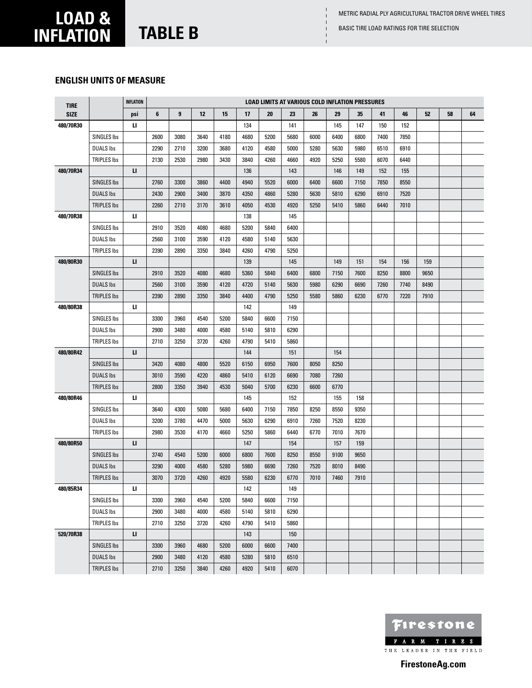Basic Tire load ratings for tire selection

# **load & inflation table B**

### **English units of measure**

| <b>TIRE</b> |                    | <b>INFLATION</b> |      |      |      |      |      | LOAD LIMITS AT VARIOUS COLD INFLATION PRESSURES |      |      |      |      |      |      |      |    |    |
|-------------|--------------------|------------------|------|------|------|------|------|-------------------------------------------------|------|------|------|------|------|------|------|----|----|
| <b>SIZE</b> |                    | psi              | 6    | 9    | 12   | 15   | 17   | 20                                              | 23   | 26   | 29   | 35   | 41   | 46   | 52   | 58 | 64 |
| 480/70R30   |                    | ш                |      |      |      |      | 134  |                                                 | 141  |      | 145  | 147  | 150  | 152  |      |    |    |
|             | SINGLES Ibs        |                  | 2600 | 3080 | 3640 | 4180 | 4680 | 5200                                            | 5680 | 6000 | 6400 | 6800 | 7400 | 7850 |      |    |    |
|             | <b>DUALS Ibs</b>   |                  | 2290 | 2710 | 3200 | 3680 | 4120 | 4580                                            | 5000 | 5280 | 5630 | 5980 | 6510 | 6910 |      |    |    |
|             | <b>TRIPLES Ibs</b> |                  | 2130 | 2530 | 2980 | 3430 | 3840 | 4260                                            | 4660 | 4920 | 5250 | 5580 | 6070 | 6440 |      |    |    |
| 480/70R34   |                    | п                |      |      |      |      | 136  |                                                 | 143  |      | 146  | 149  | 152  | 155  |      |    |    |
|             | <b>SINGLES Ibs</b> |                  | 2760 | 3300 | 3860 | 4400 | 4940 | 5520                                            | 6000 | 6400 | 6600 | 7150 | 7850 | 8550 |      |    |    |
|             | <b>DUALS Ibs</b>   |                  | 2430 | 2900 | 3400 | 3870 | 4350 | 4860                                            | 5280 | 5630 | 5810 | 6290 | 6910 | 7520 |      |    |    |
|             | TRIPLES Ibs        |                  | 2260 | 2710 | 3170 | 3610 | 4050 | 4530                                            | 4920 | 5250 | 5410 | 5860 | 6440 | 7010 |      |    |    |
| 480/70R38   |                    | ц                |      |      |      |      | 138  |                                                 | 145  |      |      |      |      |      |      |    |    |
|             | SINGLES Ibs        |                  | 2910 | 3520 | 4080 | 4680 | 5200 | 5840                                            | 6400 |      |      |      |      |      |      |    |    |
|             | <b>DUALS Ibs</b>   |                  | 2560 | 3100 | 3590 | 4120 | 4580 | 5140                                            | 5630 |      |      |      |      |      |      |    |    |
|             | <b>TRIPLES Ibs</b> |                  | 2390 | 2890 | 3350 | 3840 | 4260 | 4790                                            | 5250 |      |      |      |      |      |      |    |    |
| 480/80R30   |                    | п                |      |      |      |      | 139  |                                                 | 145  |      | 149  | 151  | 154  | 156  | 159  |    |    |
|             | <b>SINGLES Ibs</b> |                  | 2910 | 3520 | 4080 | 4680 | 5360 | 5840                                            | 6400 | 6800 | 7150 | 7600 | 8250 | 8800 | 9650 |    |    |
|             | <b>DUALS Ibs</b>   |                  | 2560 | 3100 | 3590 | 4120 | 4720 | 5140                                            | 5630 | 5980 | 6290 | 6690 | 7260 | 7740 | 8490 |    |    |
|             | <b>TRIPLES Ibs</b> |                  | 2390 | 2890 | 3350 | 3840 | 4400 | 4790                                            | 5250 | 5580 | 5860 | 6230 | 6770 | 7220 | 7910 |    |    |
| 480/80R38   |                    | ш                |      |      |      |      | 142  |                                                 | 149  |      |      |      |      |      |      |    |    |
|             | SINGLES Ibs        |                  | 3300 | 3960 | 4540 | 5200 | 5840 | 6600                                            | 7150 |      |      |      |      |      |      |    |    |
|             | <b>DUALS Ibs</b>   |                  | 2900 | 3480 | 4000 | 4580 | 5140 | 5810                                            | 6290 |      |      |      |      |      |      |    |    |
|             | <b>TRIPLES Ibs</b> |                  | 2710 | 3250 | 3720 | 4260 | 4790 | 5410                                            | 5860 |      |      |      |      |      |      |    |    |
| 480/80R42   |                    | п                |      |      |      |      | 144  |                                                 | 151  |      | 154  |      |      |      |      |    |    |
|             | <b>SINGLES Ibs</b> |                  | 3420 | 4080 | 4800 | 5520 | 6150 | 6950                                            | 7600 | 8050 | 8250 |      |      |      |      |    |    |
|             | <b>DUALS Ibs</b>   |                  | 3010 | 3590 | 4220 | 4860 | 5410 | 6120                                            | 6690 | 7080 | 7260 |      |      |      |      |    |    |
|             | <b>TRIPLES Ibs</b> |                  | 2800 | 3350 | 3940 | 4530 | 5040 | 5700                                            | 6230 | 6600 | 6770 |      |      |      |      |    |    |
| 480/80R46   |                    | ц                |      |      |      |      | 145  |                                                 | 152  |      | 155  | 158  |      |      |      |    |    |
|             | SINGLES Ibs        |                  | 3640 | 4300 | 5080 | 5680 | 6400 | 7150                                            | 7850 | 8250 | 8550 | 9350 |      |      |      |    |    |
|             | <b>DUALS Ibs</b>   |                  | 3200 | 3780 | 4470 | 5000 | 5630 | 6290                                            | 6910 | 7260 | 7520 | 8230 |      |      |      |    |    |
|             | <b>TRIPLES Ibs</b> |                  | 2980 | 3530 | 4170 | 4660 | 5250 | 5860                                            | 6440 | 6770 | 7010 | 7670 |      |      |      |    |    |
| 480/80R50   |                    | п                |      |      |      |      | 147  |                                                 | 154  |      | 157  | 159  |      |      |      |    |    |
|             | <b>SINGLES Ibs</b> |                  | 3740 | 4540 | 5200 | 6000 | 6800 | 7600                                            | 8250 | 8550 | 9100 | 9650 |      |      |      |    |    |
|             | <b>DUALS Ibs</b>   |                  | 3290 | 4000 | 4580 | 5280 | 5980 | 6690                                            | 7260 | 7520 | 8010 | 8490 |      |      |      |    |    |
|             | <b>TRIPLES Ibs</b> |                  | 3070 | 3720 | 4260 | 4920 | 5580 | 6230                                            | 6770 | 7010 | 7460 | 7910 |      |      |      |    |    |
| 480/85R34   |                    | ш                |      |      |      |      | 142  |                                                 | 149  |      |      |      |      |      |      |    |    |
|             | SINGLES Ibs        |                  | 3300 | 3960 | 4540 | 5200 | 5840 | 6600                                            | 7150 |      |      |      |      |      |      |    |    |
|             | <b>DUALS Ibs</b>   |                  | 2900 | 3480 | 4000 | 4580 | 5140 | 5810                                            | 6290 |      |      |      |      |      |      |    |    |
|             | TRIPLES Ibs        |                  | 2710 | 3250 | 3720 | 4260 | 4790 | 5410                                            | 5860 |      |      |      |      |      |      |    |    |
| 520/70R38   |                    | п                |      |      |      |      | 143  |                                                 | 150  |      |      |      |      |      |      |    |    |
|             | <b>SINGLES Ibs</b> |                  | 3300 | 3960 | 4680 | 5200 | 6000 | 6600                                            | 7400 |      |      |      |      |      |      |    |    |
|             | <b>DUALS Ibs</b>   |                  | 2900 | 3480 | 4120 | 4580 | 5280 | 5810                                            | 6510 |      |      |      |      |      |      |    |    |
|             | <b>TRIPLES Ibs</b> |                  | 2710 | 3250 | 3840 | 4260 | 4920 | 5410                                            | 6070 |      |      |      |      |      |      |    |    |

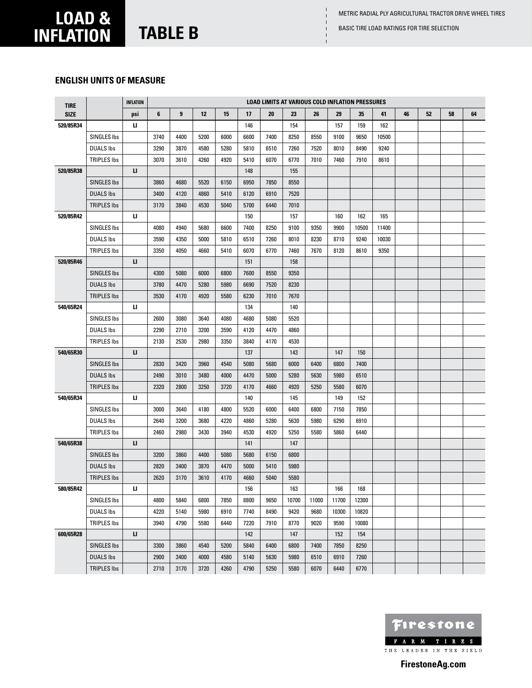Basic Tire load ratings for tire selection

# **load & inflation table B**

### **English units of measure**

| <b>TIRE</b> |                    | <b>INFLATION</b> |      |                         |      |      |      |      | <b>LOAD LIMITS AT VARIOUS COLD INFLATION PRESSURES</b> |       |       |       |       |    |    |    |    |
|-------------|--------------------|------------------|------|-------------------------|------|------|------|------|--------------------------------------------------------|-------|-------|-------|-------|----|----|----|----|
| <b>SIZE</b> |                    | psi              | 6    | $\overline{\mathbf{9}}$ | 12   | 15   | 17   | 20   | 23                                                     | 26    | 29    | 35    | 41    | 46 | 52 | 58 | 64 |
| 520/85R34   |                    | и                |      |                         |      |      | 146  |      | 154                                                    |       | 157   | 159   | 162   |    |    |    |    |
|             | <b>SINGLES Ibs</b> |                  | 3740 | 4400                    | 5200 | 6000 | 6600 | 7400 | 8250                                                   | 8550  | 9100  | 9650  | 10500 |    |    |    |    |
|             | <b>DUALS Ibs</b>   |                  | 3290 | 3870                    | 4580 | 5280 | 5810 | 6510 | 7260                                                   | 7520  | 8010  | 8490  | 9240  |    |    |    |    |
|             | <b>TRIPLES Ibs</b> |                  | 3070 | 3610                    | 4260 | 4920 | 5410 | 6070 | 6770                                                   | 7010  | 7460  | 7910  | 8610  |    |    |    |    |
| 520/85R38   |                    | п                |      |                         |      |      | 148  |      | 155                                                    |       |       |       |       |    |    |    |    |
|             | <b>SINGLES Ibs</b> |                  | 3860 | 4680                    | 5520 | 6150 | 6950 | 7850 | 8550                                                   |       |       |       |       |    |    |    |    |
|             | <b>DUALS Ibs</b>   |                  | 3400 | 4120                    | 4860 | 5410 | 6120 | 6910 | 7520                                                   |       |       |       |       |    |    |    |    |
|             | <b>TRIPLES Ibs</b> |                  | 3170 | 3840                    | 4530 | 5040 | 5700 | 6440 | 7010                                                   |       |       |       |       |    |    |    |    |
| 520/85R42   |                    | ц                |      |                         |      |      | 150  |      | 157                                                    |       | 160   | 162   | 165   |    |    |    |    |
|             | SINGLES Ibs        |                  | 4080 | 4940                    | 5680 | 6600 | 7400 | 8250 | 9100                                                   | 9350  | 9900  | 10500 | 11400 |    |    |    |    |
|             | <b>DUALS Ibs</b>   |                  | 3590 | 4350                    | 5000 | 5810 | 6510 | 7260 | 8010                                                   | 8230  | 8710  | 9240  | 10030 |    |    |    |    |
|             | <b>TRIPLES Ibs</b> |                  | 3350 | 4050                    | 4660 | 5410 | 6070 | 6770 | 7460                                                   | 7670  | 8120  | 8610  | 9350  |    |    |    |    |
| 520/85R46   |                    | п                |      |                         |      |      | 151  |      | 158                                                    |       |       |       |       |    |    |    |    |
|             | <b>SINGLES Ibs</b> |                  | 4300 | 5080                    | 6000 | 6800 | 7600 | 8550 | 9350                                                   |       |       |       |       |    |    |    |    |
|             | <b>DUALS Ibs</b>   |                  | 3780 | 4470                    | 5280 | 5980 | 6690 | 7520 | 8230                                                   |       |       |       |       |    |    |    |    |
|             | <b>TRIPLES Ibs</b> |                  | 3530 | 4170                    | 4920 | 5580 | 6230 | 7010 | 7670                                                   |       |       |       |       |    |    |    |    |
| 540/65R24   |                    | u.               |      |                         |      |      | 134  |      | 140                                                    |       |       |       |       |    |    |    |    |
|             | <b>SINGLES Ibs</b> |                  | 2600 | 3080                    | 3640 | 4080 | 4680 | 5080 | 5520                                                   |       |       |       |       |    |    |    |    |
|             | <b>DUALS Ibs</b>   |                  | 2290 | 2710                    | 3200 | 3590 | 4120 | 4470 | 4860                                                   |       |       |       |       |    |    |    |    |
|             | <b>TRIPLES Ibs</b> |                  | 2130 | 2530                    | 2980 | 3350 | 3840 | 4170 | 4530                                                   |       |       |       |       |    |    |    |    |
| 540/65R30   |                    | п                |      |                         |      |      | 137  |      | 143                                                    |       | 147   | 150   |       |    |    |    |    |
|             | <b>SINGLES Ibs</b> |                  | 2830 | 3420                    | 3960 | 4540 | 5080 | 5680 | 6000                                                   | 6400  | 6800  | 7400  |       |    |    |    |    |
|             | <b>DUALS Ibs</b>   |                  | 2490 | 3010                    | 3480 | 4000 | 4470 | 5000 | 5280                                                   | 5630  | 5980  | 6510  |       |    |    |    |    |
|             | <b>TRIPLES Ibs</b> |                  | 2320 | 2800                    | 3250 | 3720 | 4170 | 4660 | 4920                                                   | 5250  | 5580  | 6070  |       |    |    |    |    |
| 540/65R34   |                    | и                |      |                         |      |      | 140  |      | 145                                                    |       | 149   | 152   |       |    |    |    |    |
|             | <b>SINGLES Ibs</b> |                  | 3000 | 3640                    | 4180 | 4800 | 5520 | 6000 | 6400                                                   | 6800  | 7150  | 7850  |       |    |    |    |    |
|             | <b>DUALS Ibs</b>   |                  | 2640 | 3200                    | 3680 | 4220 | 4860 | 5280 | 5630                                                   | 5980  | 6290  | 6910  |       |    |    |    |    |
|             | <b>TRIPLES Ibs</b> |                  | 2460 | 2980                    | 3430 | 3940 | 4530 | 4920 | 5250                                                   | 5580  | 5860  | 6440  |       |    |    |    |    |
| 540/65R38   |                    | п                |      |                         |      |      | 141  |      | 147                                                    |       |       |       |       |    |    |    |    |
|             | <b>SINGLES Ibs</b> |                  | 3200 | 3860                    | 4400 | 5080 | 5680 | 6150 | 6800                                                   |       |       |       |       |    |    |    |    |
|             | <b>DUALS Ibs</b>   |                  | 2820 | 3400                    | 3870 | 4470 | 5000 | 5410 | 5980                                                   |       |       |       |       |    |    |    |    |
|             | <b>TRIPLES Ibs</b> |                  | 2620 | 3170                    | 3610 | 4170 | 4660 | 5040 | 5580                                                   |       |       |       |       |    |    |    |    |
| 580/85R42   |                    | п                |      |                         |      |      | 156  |      | 163                                                    |       | 166   | 168   |       |    |    |    |    |
|             | SINGLES Ibs        |                  | 4800 | 5840                    | 6800 | 7850 | 8800 | 9650 | 10700                                                  | 11000 | 11700 | 12300 |       |    |    |    |    |
|             | <b>DUALS Ibs</b>   |                  | 4220 | 5140                    | 5980 | 6910 | 7740 | 8490 | 9420                                                   | 9680  | 10300 | 10820 |       |    |    |    |    |
|             | TRIPLES Ibs        |                  | 3940 | 4790                    | 5580 | 6440 | 7220 | 7910 | 8770                                                   | 9020  | 9590  | 10080 |       |    |    |    |    |
| 600/65R28   |                    | п                |      |                         |      |      | 142  |      | 147                                                    |       | 152   | 154   |       |    |    |    |    |
|             | <b>SINGLES Ibs</b> |                  | 3300 | 3860                    | 4540 | 5200 | 5840 | 6400 | 6800                                                   | 7400  | 7850  | 8250  |       |    |    |    |    |
|             | <b>DUALS Ibs</b>   |                  | 2900 | 3400                    | 4000 | 4580 | 5140 | 5630 | 5980                                                   | 6510  | 6910  | 7260  |       |    |    |    |    |
|             | <b>TRIPLES Ibs</b> |                  | 2710 | 3170                    | 3720 | 4260 | 4790 | 5250 | 5580                                                   | 6070  | 6440  | 6770  |       |    |    |    |    |

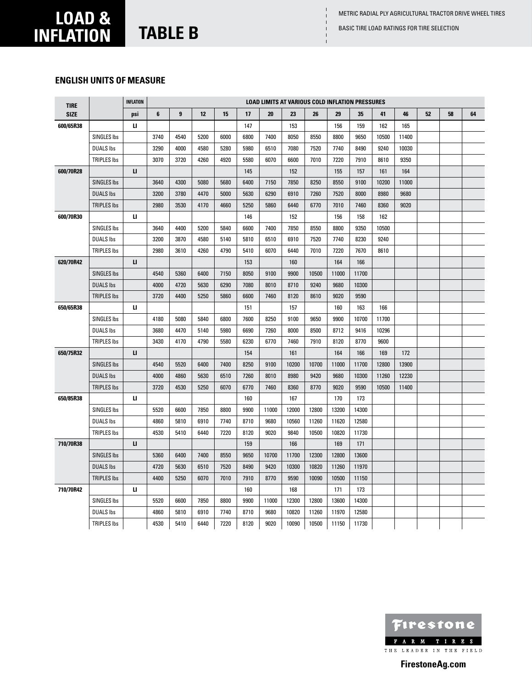Basic Tire load ratings for tire selection

 $\mathbf{I}$ 

# **load & inflation table B**

### **English units of measure**

| <b>TIRE</b> |                    | <b>INFLATION</b> |      |      |      |      |      | <b>LOAD LIMITS AT VARIOUS COLD INFLATION PRESSURES</b> |       |       |       |       |       |       |    |    |    |
|-------------|--------------------|------------------|------|------|------|------|------|--------------------------------------------------------|-------|-------|-------|-------|-------|-------|----|----|----|
| <b>SIZE</b> |                    | psi              | 6    | 9    | 12   | 15   | 17   | 20                                                     | 23    | 26    | 29    | 35    | 41    | 46    | 52 | 58 | 64 |
| 600/65R38   |                    | ц                |      |      |      |      | 147  |                                                        | 153   |       | 156   | 159   | 162   | 165   |    |    |    |
|             | SINGLES Ibs        |                  | 3740 | 4540 | 5200 | 6000 | 6800 | 7400                                                   | 8050  | 8550  | 8800  | 9650  | 10500 | 11400 |    |    |    |
|             | <b>DUALS Ibs</b>   |                  | 3290 | 4000 | 4580 | 5280 | 5980 | 6510                                                   | 7080  | 7520  | 7740  | 8490  | 9240  | 10030 |    |    |    |
|             | <b>TRIPLES Ibs</b> |                  | 3070 | 3720 | 4260 | 4920 | 5580 | 6070                                                   | 6600  | 7010  | 7220  | 7910  | 8610  | 9350  |    |    |    |
| 600/70R28   |                    | п                |      |      |      |      | 145  |                                                        | 152   |       | 155   | 157   | 161   | 164   |    |    |    |
|             | <b>SINGLES Ibs</b> |                  | 3640 | 4300 | 5080 | 5680 | 6400 | 7150                                                   | 7850  | 8250  | 8550  | 9100  | 10200 | 11000 |    |    |    |
|             | <b>DUALS Ibs</b>   |                  | 3200 | 3780 | 4470 | 5000 | 5630 | 6290                                                   | 6910  | 7260  | 7520  | 8000  | 8980  | 9680  |    |    |    |
|             | <b>TRIPLES Ibs</b> |                  | 2980 | 3530 | 4170 | 4660 | 5250 | 5860                                                   | 6440  | 6770  | 7010  | 7460  | 8360  | 9020  |    |    |    |
| 600/70R30   |                    | и                |      |      |      |      | 146  |                                                        | 152   |       | 156   | 158   | 162   |       |    |    |    |
|             | <b>SINGLES Ibs</b> |                  | 3640 | 4400 | 5200 | 5840 | 6600 | 7400                                                   | 7850  | 8550  | 8800  | 9350  | 10500 |       |    |    |    |
|             | <b>DUALS Ibs</b>   |                  | 3200 | 3870 | 4580 | 5140 | 5810 | 6510                                                   | 6910  | 7520  | 7740  | 8230  | 9240  |       |    |    |    |
|             | <b>TRIPLES Ibs</b> |                  | 2980 | 3610 | 4260 | 4790 | 5410 | 6070                                                   | 6440  | 7010  | 7220  | 7670  | 8610  |       |    |    |    |
| 620/70R42   |                    | $\mathbf{u}$     |      |      |      |      | 153  |                                                        | 160   |       | 164   | 166   |       |       |    |    |    |
|             | <b>SINGLES Ibs</b> |                  | 4540 | 5360 | 6400 | 7150 | 8050 | 9100                                                   | 9900  | 10500 | 11000 | 11700 |       |       |    |    |    |
|             | <b>DUALS Ibs</b>   |                  | 4000 | 4720 | 5630 | 6290 | 7080 | 8010                                                   | 8710  | 9240  | 9680  | 10300 |       |       |    |    |    |
|             | <b>TRIPLES Ibs</b> |                  | 3720 | 4400 | 5250 | 5860 | 6600 | 7460                                                   | 8120  | 8610  | 9020  | 9590  |       |       |    |    |    |
| 650/65R38   |                    | и                |      |      |      |      | 151  |                                                        | 157   |       | 160   | 163   | 166   |       |    |    |    |
|             | <b>SINGLES Ibs</b> |                  | 4180 | 5080 | 5840 | 6800 | 7600 | 8250                                                   | 9100  | 9650  | 9900  | 10700 | 11700 |       |    |    |    |
|             | <b>DUALS Ibs</b>   |                  | 3680 | 4470 | 5140 | 5980 | 6690 | 7260                                                   | 8000  | 8500  | 8712  | 9416  | 10296 |       |    |    |    |
|             | <b>TRIPLES Ibs</b> |                  | 3430 | 4170 | 4790 | 5580 | 6230 | 6770                                                   | 7460  | 7910  | 8120  | 8770  | 9600  |       |    |    |    |
| 650/75R32   |                    | $\mathbf{u}$     |      |      |      |      | 154  |                                                        | 161   |       | 164   | 166   | 169   | 172   |    |    |    |
|             | <b>SINGLES Ibs</b> |                  | 4540 | 5520 | 6400 | 7400 | 8250 | 9100                                                   | 10200 | 10700 | 11000 | 11700 | 12800 | 13900 |    |    |    |
|             | <b>DUALS Ibs</b>   |                  | 4000 | 4860 | 5630 | 6510 | 7260 | 8010                                                   | 8980  | 9420  | 9680  | 10300 | 11260 | 12230 |    |    |    |
|             | <b>TRIPLES Ibs</b> |                  | 3720 | 4530 | 5250 | 6070 | 6770 | 7460                                                   | 8360  | 8770  | 9020  | 9590  | 10500 | 11400 |    |    |    |
| 650/85R38   |                    | ш                |      |      |      |      | 160  |                                                        | 167   |       | 170   | 173   |       |       |    |    |    |
|             | <b>SINGLES Ibs</b> |                  | 5520 | 6600 | 7850 | 8800 | 9900 | 11000                                                  | 12000 | 12800 | 13200 | 14300 |       |       |    |    |    |
|             | <b>DUALS Ibs</b>   |                  | 4860 | 5810 | 6910 | 7740 | 8710 | 9680                                                   | 10560 | 11260 | 11620 | 12580 |       |       |    |    |    |
|             | <b>TRIPLES Ibs</b> |                  | 4530 | 5410 | 6440 | 7220 | 8120 | 9020                                                   | 9840  | 10500 | 10820 | 11730 |       |       |    |    |    |
| 710/70R38   |                    | п                |      |      |      |      | 159  |                                                        | 166   |       | 169   | 171   |       |       |    |    |    |
|             | <b>SINGLES Ibs</b> |                  | 5360 | 6400 | 7400 | 8550 | 9650 | 10700                                                  | 11700 | 12300 | 12800 | 13600 |       |       |    |    |    |
|             | <b>DUALS Ibs</b>   |                  | 4720 | 5630 | 6510 | 7520 | 8490 | 9420                                                   | 10300 | 10820 | 11260 | 11970 |       |       |    |    |    |
|             | <b>TRIPLES Ibs</b> |                  | 4400 | 5250 | 6070 | 7010 | 7910 | 8770                                                   | 9590  | 10090 | 10500 | 11150 |       |       |    |    |    |
| 710/70R42   |                    | ц                |      |      |      |      | 160  |                                                        | 168   |       | 171   | 173   |       |       |    |    |    |
|             | <b>SINGLES Ibs</b> |                  | 5520 | 6600 | 7850 | 8800 | 9900 | 11000                                                  | 12300 | 12800 | 13600 | 14300 |       |       |    |    |    |
|             | <b>DUALS Ibs</b>   |                  | 4860 | 5810 | 6910 | 7740 | 8710 | 9680                                                   | 10820 | 11260 | 11970 | 12580 |       |       |    |    |    |
|             | <b>TRIPLES Ibs</b> |                  | 4530 | 5410 | 6440 | 7220 | 8120 | 9020                                                   | 10090 | 10500 | 11150 | 11730 |       |       |    |    |    |

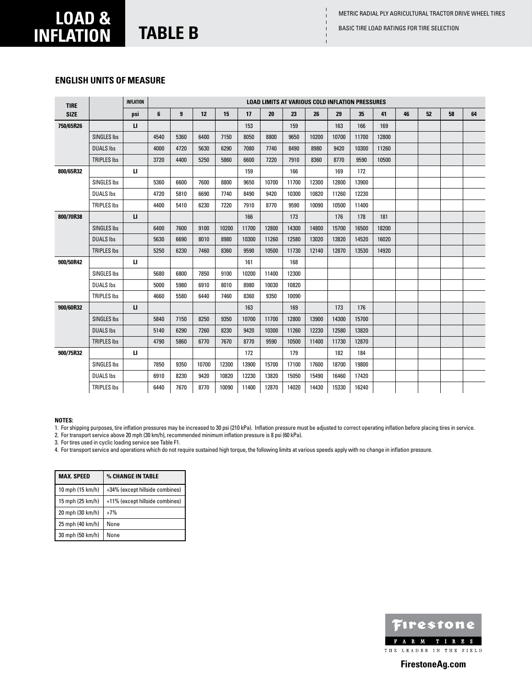Basic Tire load ratings for tire selection

### **load & inflation table B**

#### **English units of measure**

| <b>TIRE</b> |                    | <b>INFLATION</b> |      |      |       |       |       |       |       | <b>LOAD LIMITS AT VARIOUS COLD INFLATION PRESSURES</b> |       |       |       |    |    |    |    |
|-------------|--------------------|------------------|------|------|-------|-------|-------|-------|-------|--------------------------------------------------------|-------|-------|-------|----|----|----|----|
| <b>SIZE</b> |                    | psi              | 6    | 9    | 12    | 15    | 17    | 20    | 23    | 26                                                     | 29    | 35    | 41    | 46 | 52 | 58 | 64 |
| 750/65R26   |                    | п                |      |      |       |       | 153   |       | 159   |                                                        | 163   | 166   | 169   |    |    |    |    |
|             | <b>SINGLES Ibs</b> |                  | 4540 | 5360 | 6400  | 7150  | 8050  | 8800  | 9650  | 10200                                                  | 10700 | 11700 | 12800 |    |    |    |    |
|             | <b>DUALS Ibs</b>   |                  | 4000 | 4720 | 5630  | 6290  | 7080  | 7740  | 8490  | 8980                                                   | 9420  | 10300 | 11260 |    |    |    |    |
|             | <b>TRIPLES Ibs</b> |                  | 3720 | 4400 | 5250  | 5860  | 6600  | 7220  | 7910  | 8360                                                   | 8770  | 9590  | 10500 |    |    |    |    |
| 800/65R32   |                    | и                |      |      |       |       | 159   |       | 166   |                                                        | 169   | 172   |       |    |    |    |    |
|             | <b>SINGLES Ibs</b> |                  | 5360 | 6600 | 7600  | 8800  | 9650  | 10700 | 11700 | 12300                                                  | 12800 | 13900 |       |    |    |    |    |
|             | <b>DUALS Ibs</b>   |                  | 4720 | 5810 | 6690  | 7740  | 8490  | 9420  | 10300 | 10820                                                  | 11260 | 12230 |       |    |    |    |    |
|             | <b>TRIPLES Ibs</b> |                  | 4400 | 5410 | 6230  | 7220  | 7910  | 8770  | 9590  | 10090                                                  | 10500 | 11400 |       |    |    |    |    |
| 800/70R38   |                    | $\mathbf{u}$     |      |      |       |       | 166   |       | 173   |                                                        | 176   | 178   | 181   |    |    |    |    |
|             | <b>SINGLES Ibs</b> |                  | 6400 | 7600 | 9100  | 10200 | 11700 | 12800 | 14300 | 14800                                                  | 15700 | 16500 | 18200 |    |    |    |    |
|             | <b>DUALS Ibs</b>   |                  | 5630 | 6690 | 8010  | 8980  | 10300 | 11260 | 12580 | 13020                                                  | 13820 | 14520 | 16020 |    |    |    |    |
|             | <b>TRIPLES Ibs</b> |                  | 5250 | 6230 | 7460  | 8360  | 9590  | 10500 | 11730 | 12140                                                  | 12870 | 13530 | 14920 |    |    |    |    |
| 900/50R42   |                    | и                |      |      |       |       | 161   |       | 168   |                                                        |       |       |       |    |    |    |    |
|             | <b>SINGLES Ibs</b> |                  | 5680 | 6800 | 7850  | 9100  | 10200 | 11400 | 12300 |                                                        |       |       |       |    |    |    |    |
|             | <b>DUALS Ibs</b>   |                  | 5000 | 5980 | 6910  | 8010  | 8980  | 10030 | 10820 |                                                        |       |       |       |    |    |    |    |
|             | <b>TRIPLES Ibs</b> |                  | 4660 | 5580 | 6440  | 7460  | 8360  | 9350  | 10090 |                                                        |       |       |       |    |    |    |    |
| 900/60R32   |                    | $\mathbf{u}$     |      |      |       |       | 163   |       | 169   |                                                        | 173   | 176   |       |    |    |    |    |
|             | <b>SINGLES Ibs</b> |                  | 5840 | 7150 | 8250  | 9350  | 10700 | 11700 | 12800 | 13900                                                  | 14300 | 15700 |       |    |    |    |    |
|             | <b>DUALS Ibs</b>   |                  | 5140 | 6290 | 7260  | 8230  | 9420  | 10300 | 11260 | 12230                                                  | 12580 | 13820 |       |    |    |    |    |
|             | <b>TRIPLES Ibs</b> |                  | 4790 | 5860 | 6770  | 7670  | 8770  | 9590  | 10500 | 11400                                                  | 11730 | 12870 |       |    |    |    |    |
| 900/75R32   |                    | и                |      |      |       |       | 172   |       | 179   |                                                        | 182   | 184   |       |    |    |    |    |
|             | SINGLES Ibs        |                  | 7850 | 9350 | 10700 | 12300 | 13900 | 15700 | 17100 | 17600                                                  | 18700 | 19800 |       |    |    |    |    |
|             | <b>DUALS Ibs</b>   |                  | 6910 | 8230 | 9420  | 10820 | 12230 | 13820 | 15050 | 15490                                                  | 16460 | 17420 |       |    |    |    |    |
|             | <b>TRIPLES Ibs</b> |                  | 6440 | 7670 | 8770  | 10090 | 11400 | 12870 | 14020 | 14430                                                  | 15330 | 16240 |       |    |    |    |    |

#### **NOTES:**

1. For shipping purposes, tire inflation pressures may be increased to 30 psi (210 kPa). Inflation pressure must be adjusted to correct operating inflation before placing tires in service.

2. For transport service above 20 mph (30 km/h), recommended minimum inflation pressure is 8 psi (60 kPa).

3. For tires used in cyclic loading service see Table F1.

4. For transport service and operations which do not require sustained high torque, the following limits at various speeds apply with no change in inflation pressure.

| <b>MAX. SPEED</b> | % CHANGE IN TABLE               |
|-------------------|---------------------------------|
| 10 mph (15 km/h)  | +34% (except hillside combines) |
| 15 mph (25 km/h)  | +11% (except hillside combines) |
| 20 mph (30 km/h)  | $+7%$                           |
| 25 mph (40 km/h)  | None                            |
| 30 mph (50 km/h)  | None                            |

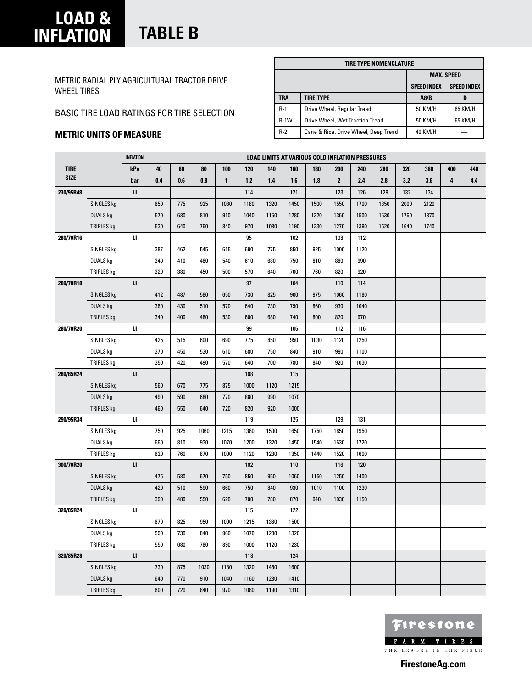### **load & inflation table B**

Metric Radial PLY Agricultural Tractor Drive Wheel Tires

### Basic Tire load ratings for tire selection

#### **METRIC units of measure**

|            | TIRE TYPE NOMENCLATURE               |                    |                    |
|------------|--------------------------------------|--------------------|--------------------|
|            |                                      | <b>MAX. SPEED</b>  |                    |
|            |                                      | <b>SPEED INDEX</b> | <b>SPEED INDEX</b> |
| <b>TRA</b> | <b>TIRE TYPE</b>                     | A8/B               | D                  |
| $R-1$      | Drive Wheel, Regular Tread           | 50 KM/H            | 65 KM/H            |
| $R-1W$     | Drive Wheel, Wet Traction Tread      | 50 KM/H            | 65 KM/H            |
| $R-2$      | Cane & Rice, Drive Wheel, Deep Tread | 40 KM/H            |                    |

|             |                 | <b>INFLATION</b> |     |     |      |              |       |      | <b>LOAD LIMITS AT VARIOUS COLD INFLATION PRESSURES</b> |      |                |      |      |      |      |     |     |
|-------------|-----------------|------------------|-----|-----|------|--------------|-------|------|--------------------------------------------------------|------|----------------|------|------|------|------|-----|-----|
| <b>TIRE</b> |                 | kPa              | 40  | 60  | 80   | 100          | 120   | 140  | 160                                                    | 180  | 200            | 240  | 280  | 320  | 360  | 400 | 440 |
| <b>SIZE</b> |                 | bar              | 0.4 | 0.6 | 0.8  | $\mathbf{1}$ | $1.2$ | 1.4  | 1.6                                                    | 1.8  | $\overline{2}$ | 2.4  | 2.8  | 3.2  | 3.6  | 4   | 4.4 |
| 230/95R48   |                 | п                |     |     |      |              | 114   |      | 121                                                    |      | 123            | 126  | 129  | 132  | 134  |     |     |
|             | SINGLES kg      |                  | 650 | 775 | 925  | 1030         | 1180  | 1320 | 1450                                                   | 1500 | 1550           | 1700 | 1850 | 2000 | 2120 |     |     |
|             | <b>DUALS kg</b> |                  | 570 | 680 | 810  | 910          | 1040  | 1160 | 1280                                                   | 1320 | 1360           | 1500 | 1630 | 1760 | 1870 |     |     |
|             | TRIPLES kg      |                  | 530 | 640 | 760  | 840          | 970   | 1080 | 1190                                                   | 1230 | 1270           | 1390 | 1520 | 1640 | 1740 |     |     |
| 280/70R16   |                 | п                |     |     |      |              | 95    |      | 102                                                    |      | 108            | 112  |      |      |      |     |     |
|             | SINGLES kg      |                  | 387 | 462 | 545  | 615          | 690   | 775  | 850                                                    | 925  | 1000           | 1120 |      |      |      |     |     |
|             | <b>DUALS kg</b> |                  | 340 | 410 | 480  | 540          | 610   | 680  | 750                                                    | 810  | 880            | 990  |      |      |      |     |     |
|             | TRIPLES kg      |                  | 320 | 380 | 450  | 500          | 570   | 640  | 700                                                    | 760  | 820            | 920  |      |      |      |     |     |
| 280/70R18   |                 | п                |     |     |      |              | 97    |      | 104                                                    |      | 110            | 114  |      |      |      |     |     |
|             | SINGLES kg      |                  | 412 | 487 | 580  | 650          | 730   | 825  | 900                                                    | 975  | 1060           | 1180 |      |      |      |     |     |
|             | <b>DUALS kg</b> |                  | 360 | 430 | 510  | 570          | 640   | 730  | 790                                                    | 860  | 930            | 1040 |      |      |      |     |     |
|             | TRIPLES kg      |                  | 340 | 400 | 480  | 530          | 600   | 680  | 740                                                    | 800  | 870            | 970  |      |      |      |     |     |
| 280/70R20   |                 | п                |     |     |      |              | 99    |      | 106                                                    |      | 112            | 116  |      |      |      |     |     |
|             | SINGLES kg      |                  | 425 | 515 | 600  | 690          | 775   | 850  | 950                                                    | 1030 | 1120           | 1250 |      |      |      |     |     |
|             | <b>DUALS kg</b> |                  | 370 | 450 | 530  | 610          | 680   | 750  | 840                                                    | 910  | 990            | 1100 |      |      |      |     |     |
|             | TRIPLES kg      |                  | 350 | 420 | 490  | 570          | 640   | 700  | 780                                                    | 840  | 920            | 1030 |      |      |      |     |     |
| 280/85R24   |                 | п                |     |     |      |              | 108   |      | 115                                                    |      |                |      |      |      |      |     |     |
|             | SINGLES kg      |                  | 560 | 670 | 775  | 875          | 1000  | 1120 | 1215                                                   |      |                |      |      |      |      |     |     |
|             | <b>DUALS kg</b> |                  | 490 | 590 | 680  | 770          | 880   | 990  | 1070                                                   |      |                |      |      |      |      |     |     |
|             | TRIPLES kg      |                  | 460 | 550 | 640  | 720          | 820   | 920  | 1000                                                   |      |                |      |      |      |      |     |     |
| 290/95R34   |                 | п                |     |     |      |              | 119   |      | 125                                                    |      | 129            | 131  |      |      |      |     |     |
|             | SINGLES kg      |                  | 750 | 925 | 1060 | 1215         | 1360  | 1500 | 1650                                                   | 1750 | 1850           | 1950 |      |      |      |     |     |
|             | <b>DUALS kg</b> |                  | 660 | 810 | 930  | 1070         | 1200  | 1320 | 1450                                                   | 1540 | 1630           | 1720 |      |      |      |     |     |
|             | TRIPLES kg      |                  | 620 | 760 | 870  | 1000         | 1120  | 1230 | 1350                                                   | 1440 | 1520           | 1600 |      |      |      |     |     |
| 300/70R20   |                 | $\mathbf{u}$     |     |     |      |              | 102   |      | 110                                                    |      | 116            | 120  |      |      |      |     |     |
|             | SINGLES kg      |                  | 475 | 580 | 670  | 750          | 850   | 950  | 1060                                                   | 1150 | 1250           | 1400 |      |      |      |     |     |
|             | <b>DUALS kg</b> |                  | 420 | 510 | 590  | 660          | 750   | 840  | 930                                                    | 1010 | 1100           | 1230 |      |      |      |     |     |
|             | TRIPLES kg      |                  | 390 | 480 | 550  | 620          | 700   | 780  | 870                                                    | 940  | 1030           | 1150 |      |      |      |     |     |
| 320/85R24   |                 | п                |     |     |      |              | 115   |      | 122                                                    |      |                |      |      |      |      |     |     |
|             | SINGLES kg      |                  | 670 | 825 | 950  | 1090         | 1215  | 1360 | 1500                                                   |      |                |      |      |      |      |     |     |
|             | <b>DUALS kg</b> |                  | 590 | 730 | 840  | 960          | 1070  | 1200 | 1320                                                   |      |                |      |      |      |      |     |     |
|             | TRIPLES kg      |                  | 550 | 680 | 780  | 890          | 1000  | 1120 | 1230                                                   |      |                |      |      |      |      |     |     |
| 320/85R28   |                 | п                |     |     |      |              | 118   |      | 124                                                    |      |                |      |      |      |      |     |     |
|             | SINGLES kg      |                  | 730 | 875 | 1030 | 1180         | 1320  | 1450 | 1600                                                   |      |                |      |      |      |      |     |     |
|             | <b>DUALS kg</b> |                  | 640 | 770 | 910  | 1040         | 1160  | 1280 | 1410                                                   |      |                |      |      |      |      |     |     |
|             | TRIPLES kg      |                  | 600 | 720 | 840  | 970          | 1080  | 1190 | 1310                                                   |      |                |      |      |      |      |     |     |

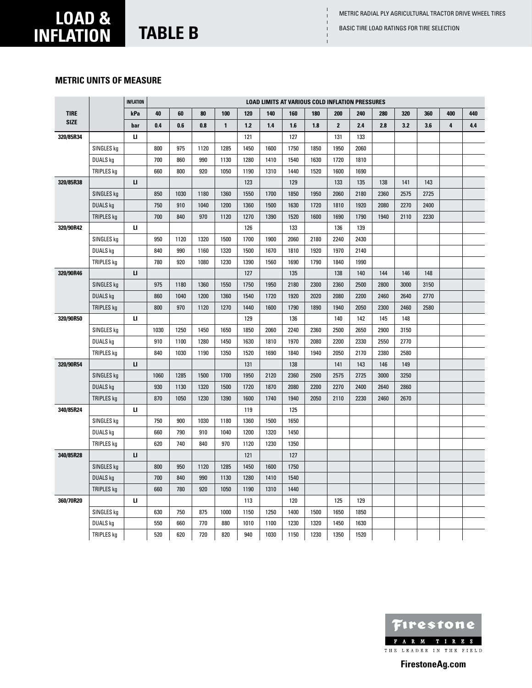#### **metric units of measure**

|             |                   | <b>INFLATION</b> |      |      |      |              |      | <b>LOAD LIMITS AT VARIOUS COLD INFLATION PRESSURES</b> |      |      |              |      |      |      |      |     |     |
|-------------|-------------------|------------------|------|------|------|--------------|------|--------------------------------------------------------|------|------|--------------|------|------|------|------|-----|-----|
| <b>TIRE</b> |                   | kPa              | 40   | 60   | 80   | 100          | 120  | 140                                                    | 160  | 180  | 200          | 240  | 280  | 320  | 360  | 400 | 440 |
| <b>SIZE</b> |                   | bar              | 0.4  | 0.6  | 0.8  | $\mathbf{1}$ | 1.2  | 1.4                                                    | 1.6  | 1.8  | $\mathbf{2}$ | 2.4  | 2.8  | 3.2  | 3.6  | 4   | 4.4 |
| 320/85R34   |                   | и                |      |      |      |              | 121  |                                                        | 127  |      | 131          | 133  |      |      |      |     |     |
|             | SINGLES kg        |                  | 800  | 975  | 1120 | 1285         | 1450 | 1600                                                   | 1750 | 1850 | 1950         | 2060 |      |      |      |     |     |
|             | DUALS kg          |                  | 700  | 860  | 990  | 1130         | 1280 | 1410                                                   | 1540 | 1630 | 1720         | 1810 |      |      |      |     |     |
|             | TRIPLES kg        |                  | 660  | 800  | 920  | 1050         | 1190 | 1310                                                   | 1440 | 1520 | 1600         | 1690 |      |      |      |     |     |
| 320/85R38   |                   | п                |      |      |      |              | 123  |                                                        | 129  |      | 133          | 135  | 138  | 141  | 143  |     |     |
|             | SINGLES kg        |                  | 850  | 1030 | 1180 | 1360         | 1550 | 1700                                                   | 1850 | 1950 | 2060         | 2180 | 2360 | 2575 | 2725 |     |     |
|             | <b>DUALS kg</b>   |                  | 750  | 910  | 1040 | 1200         | 1360 | 1500                                                   | 1630 | 1720 | 1810         | 1920 | 2080 | 2270 | 2400 |     |     |
|             | <b>TRIPLES kg</b> |                  | 700  | 840  | 970  | 1120         | 1270 | 1390                                                   | 1520 | 1600 | 1690         | 1790 | 1940 | 2110 | 2230 |     |     |
| 320/90R42   |                   | п                |      |      |      |              | 126  |                                                        | 133  |      | 136          | 139  |      |      |      |     |     |
|             | SINGLES kg        |                  | 950  | 1120 | 1320 | 1500         | 1700 | 1900                                                   | 2060 | 2180 | 2240         | 2430 |      |      |      |     |     |
|             | <b>DUALS kg</b>   |                  | 840  | 990  | 1160 | 1320         | 1500 | 1670                                                   | 1810 | 1920 | 1970         | 2140 |      |      |      |     |     |
|             | TRIPLES kg        |                  | 780  | 920  | 1080 | 1230         | 1390 | 1560                                                   | 1690 | 1790 | 1840         | 1990 |      |      |      |     |     |
| 320/90R46   |                   | п                |      |      |      |              | 127  |                                                        | 135  |      | 138          | 140  | 144  | 146  | 148  |     |     |
|             | SINGLES kg        |                  | 975  | 1180 | 1360 | 1550         | 1750 | 1950                                                   | 2180 | 2300 | 2360         | 2500 | 2800 | 3000 | 3150 |     |     |
|             | <b>DUALS kg</b>   |                  | 860  | 1040 | 1200 | 1360         | 1540 | 1720                                                   | 1920 | 2020 | 2080         | 2200 | 2460 | 2640 | 2770 |     |     |
|             | TRIPLES kg        |                  | 800  | 970  | 1120 | 1270         | 1440 | 1600                                                   | 1790 | 1890 | 1940         | 2050 | 2300 | 2460 | 2580 |     |     |
| 320/90R50   |                   | и                |      |      |      |              | 129  |                                                        | 136  |      | 140          | 142  | 145  | 148  |      |     |     |
|             | SINGLES kg        |                  | 1030 | 1250 | 1450 | 1650         | 1850 | 2060                                                   | 2240 | 2360 | 2500         | 2650 | 2900 | 3150 |      |     |     |
|             | DUALS kg          |                  | 910  | 1100 | 1280 | 1450         | 1630 | 1810                                                   | 1970 | 2080 | 2200         | 2330 | 2550 | 2770 |      |     |     |
|             | TRIPLES kg        |                  | 840  | 1030 | 1190 | 1350         | 1520 | 1690                                                   | 1840 | 1940 | 2050         | 2170 | 2380 | 2580 |      |     |     |
| 320/90R54   |                   | $\mathbf{u}$     |      |      |      |              | 131  |                                                        | 138  |      | 141          | 143  | 146  | 149  |      |     |     |
|             | SINGLES kg        |                  | 1060 | 1285 | 1500 | 1700         | 1950 | 2120                                                   | 2360 | 2500 | 2575         | 2725 | 3000 | 3250 |      |     |     |
|             | <b>DUALS kg</b>   |                  | 930  | 1130 | 1320 | 1500         | 1720 | 1870                                                   | 2080 | 2200 | 2270         | 2400 | 2640 | 2860 |      |     |     |
|             | TRIPLES kg        |                  | 870  | 1050 | 1230 | 1390         | 1600 | 1740                                                   | 1940 | 2050 | 2110         | 2230 | 2460 | 2670 |      |     |     |
| 340/85R24   |                   | и                |      |      |      |              | 119  |                                                        | 125  |      |              |      |      |      |      |     |     |
|             | SINGLES kg        |                  | 750  | 900  | 1030 | 1180         | 1360 | 1500                                                   | 1650 |      |              |      |      |      |      |     |     |
|             | DUALS kg          |                  | 660  | 790  | 910  | 1040         | 1200 | 1320                                                   | 1450 |      |              |      |      |      |      |     |     |
|             | TRIPLES kg        |                  | 620  | 740  | 840  | 970          | 1120 | 1230                                                   | 1350 |      |              |      |      |      |      |     |     |
| 340/85R28   |                   | п                |      |      |      |              | 121  |                                                        | 127  |      |              |      |      |      |      |     |     |
|             | SINGLES kg        |                  | 800  | 950  | 1120 | 1285         | 1450 | 1600                                                   | 1750 |      |              |      |      |      |      |     |     |
|             | <b>DUALS kg</b>   |                  | 700  | 840  | 990  | 1130         | 1280 | 1410                                                   | 1540 |      |              |      |      |      |      |     |     |
|             | TRIPLES kg        |                  | 660  | 780  | 920  | 1050         | 1190 | 1310                                                   | 1440 |      |              |      |      |      |      |     |     |
| 360/70R20   |                   | и                |      |      |      |              | 113  |                                                        | 120  |      | 125          | 129  |      |      |      |     |     |
|             | SINGLES kg        |                  | 630  | 750  | 875  | 1000         | 1150 | 1250                                                   | 1400 | 1500 | 1650         | 1850 |      |      |      |     |     |
|             | DUALS kg          |                  | 550  | 660  | 770  | 880          | 1010 | 1100                                                   | 1230 | 1320 | 1450         | 1630 |      |      |      |     |     |
|             | TRIPLES kg        |                  | 520  | 620  | 720  | 820          | 940  | 1030                                                   | 1150 | 1230 | 1350         | 1520 |      |      |      |     |     |

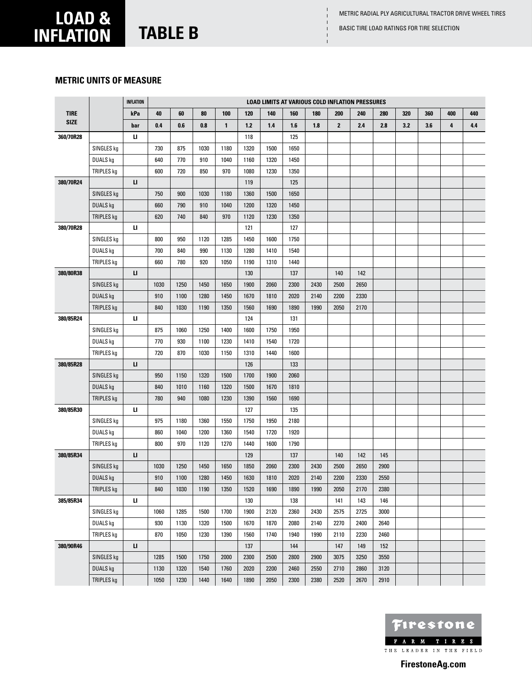# **load & inflation TABLE B** BASIC TIRE LOAD RATINGS FOR TIRE SELECTION

### **metric units of measure**

|             |                 | <b>INFLATION</b> |      |      |      |              |       |      |      |      |              | <b>LOAD LIMITS AT VARIOUS COLD INFLATION PRESSURES</b> |      |     |     |     |     |
|-------------|-----------------|------------------|------|------|------|--------------|-------|------|------|------|--------------|--------------------------------------------------------|------|-----|-----|-----|-----|
| <b>TIRE</b> |                 | kPa              | 40   | 60   | 80   | 100          | 120   | 140  | 160  | 180  | 200          | 240                                                    | 280  | 320 | 360 | 400 | 440 |
| <b>SIZE</b> |                 | bar              | 0.4  | 0.6  | 0.8  | $\mathbf{1}$ | $1.2$ | 1.4  | 1.6  | 1.8  | $\mathbf{2}$ | 2.4                                                    | 2.8  | 3.2 | 3.6 | 4   | 4.4 |
| 360/70R28   |                 | ш                |      |      |      |              | 118   |      | 125  |      |              |                                                        |      |     |     |     |     |
|             | SINGLES kg      |                  | 730  | 875  | 1030 | 1180         | 1320  | 1500 | 1650 |      |              |                                                        |      |     |     |     |     |
|             | DUALS kg        |                  | 640  | 770  | 910  | 1040         | 1160  | 1320 | 1450 |      |              |                                                        |      |     |     |     |     |
|             | TRIPLES kg      |                  | 600  | 720  | 850  | 970          | 1080  | 1230 | 1350 |      |              |                                                        |      |     |     |     |     |
| 380/70R24   |                 | IJ.              |      |      |      |              | 119   |      | 125  |      |              |                                                        |      |     |     |     |     |
|             | SINGLES kg      |                  | 750  | 900  | 1030 | 1180         | 1360  | 1500 | 1650 |      |              |                                                        |      |     |     |     |     |
|             | <b>DUALS kg</b> |                  | 660  | 790  | 910  | 1040         | 1200  | 1320 | 1450 |      |              |                                                        |      |     |     |     |     |
|             | TRIPLES kg      |                  | 620  | 740  | 840  | 970          | 1120  | 1230 | 1350 |      |              |                                                        |      |     |     |     |     |
| 380/70R28   |                 | п                |      |      |      |              | 121   |      | 127  |      |              |                                                        |      |     |     |     |     |
|             | SINGLES kg      |                  | 800  | 950  | 1120 | 1285         | 1450  | 1600 | 1750 |      |              |                                                        |      |     |     |     |     |
|             | DUALS kg        |                  | 700  | 840  | 990  | 1130         | 1280  | 1410 | 1540 |      |              |                                                        |      |     |     |     |     |
|             | TRIPLES kg      |                  | 660  | 780  | 920  | 1050         | 1190  | 1310 | 1440 |      |              |                                                        |      |     |     |     |     |
| 380/80R38   |                 | п                |      |      |      |              | 130   |      | 137  |      | 140          | 142                                                    |      |     |     |     |     |
|             | SINGLES kg      |                  | 1030 | 1250 | 1450 | 1650         | 1900  | 2060 | 2300 | 2430 | 2500         | 2650                                                   |      |     |     |     |     |
|             | <b>DUALS kg</b> |                  | 910  | 1100 | 1280 | 1450         | 1670  | 1810 | 2020 | 2140 | 2200         | 2330                                                   |      |     |     |     |     |
|             | TRIPLES kg      |                  | 840  | 1030 | 1190 | 1350         | 1560  | 1690 | 1890 | 1990 | 2050         | 2170                                                   |      |     |     |     |     |
| 380/85R24   |                 | ш                |      |      |      |              | 124   |      | 131  |      |              |                                                        |      |     |     |     |     |
|             | SINGLES kg      |                  | 875  | 1060 | 1250 | 1400         | 1600  | 1750 | 1950 |      |              |                                                        |      |     |     |     |     |
|             | DUALS kg        |                  | 770  | 930  | 1100 | 1230         | 1410  | 1540 | 1720 |      |              |                                                        |      |     |     |     |     |
|             | TRIPLES kg      |                  | 720  | 870  | 1030 | 1150         | 1310  | 1440 | 1600 |      |              |                                                        |      |     |     |     |     |
| 380/85R28   |                 | u                |      |      |      |              | 126   |      | 133  |      |              |                                                        |      |     |     |     |     |
|             | SINGLES kg      |                  | 950  | 1150 | 1320 | 1500         | 1700  | 1900 | 2060 |      |              |                                                        |      |     |     |     |     |
|             | DUALS kg        |                  | 840  | 1010 | 1160 | 1320         | 1500  | 1670 | 1810 |      |              |                                                        |      |     |     |     |     |
|             | TRIPLES kg      |                  | 780  | 940  | 1080 | 1230         | 1390  | 1560 | 1690 |      |              |                                                        |      |     |     |     |     |
| 380/85R30   |                 | ш                |      |      |      |              | 127   |      | 135  |      |              |                                                        |      |     |     |     |     |
|             | SINGLES kg      |                  | 975  | 1180 | 1360 | 1550         | 1750  | 1950 | 2180 |      |              |                                                        |      |     |     |     |     |
|             | DUALS kg        |                  | 860  | 1040 | 1200 | 1360         | 1540  | 1720 | 1920 |      |              |                                                        |      |     |     |     |     |
|             | TRIPLES kg      |                  | 800  | 970  | 1120 | 1270         | 1440  | 1600 | 1790 |      |              |                                                        |      |     |     |     |     |
| 380/85R34   |                 | IJ.              |      |      |      |              | 129   |      | 137  |      | 140          | 142                                                    | 145  |     |     |     |     |
|             | SINGLES kg      |                  | 1030 | 1250 | 1450 | 1650         | 1850  | 2060 | 2300 | 2430 | 2500         | 2650                                                   | 2900 |     |     |     |     |
|             | <b>DUALS kg</b> |                  | 910  | 1100 | 1280 | 1450         | 1630  | 1810 | 2020 | 2140 | 2200         | 2330                                                   | 2550 |     |     |     |     |
|             | TRIPLES kg      |                  | 840  | 1030 | 1190 | 1350         | 1520  | 1690 | 1890 | 1990 | 2050         | 2170                                                   | 2380 |     |     |     |     |
| 385/85R34   |                 | ш                |      |      |      |              | 130   |      | 138  |      | 141          | 143                                                    | 146  |     |     |     |     |
|             | SINGLES kg      |                  | 1060 | 1285 | 1500 | 1700         | 1900  | 2120 | 2360 | 2430 | 2575         | 2725                                                   | 3000 |     |     |     |     |
|             | DUALS kg        |                  | 930  | 1130 | 1320 | 1500         | 1670  | 1870 | 2080 | 2140 | 2270         | 2400                                                   | 2640 |     |     |     |     |
|             | TRIPLES kg      |                  | 870  | 1050 | 1230 | 1390         | 1560  | 1740 | 1940 | 1990 | 2110         | 2230                                                   | 2460 |     |     |     |     |
| 380/90R46   |                 | IJ.              |      |      |      |              | 137   |      | 144  |      | 147          | 149                                                    | 152  |     |     |     |     |
|             | SINGLES kg      |                  | 1285 | 1500 | 1750 | 2000         | 2300  | 2500 | 2800 | 2900 | 3075         | 3250                                                   | 3550 |     |     |     |     |
|             | DUALS kg        |                  | 1130 | 1320 | 1540 | 1760         | 2020  | 2200 | 2460 | 2550 | 2710         | 2860                                                   | 3120 |     |     |     |     |
|             | TRIPLES kg      |                  | 1050 | 1230 | 1440 | 1640         | 1890  | 2050 | 2300 | 2380 | 2520         | 2670                                                   | 2910 |     |     |     |     |

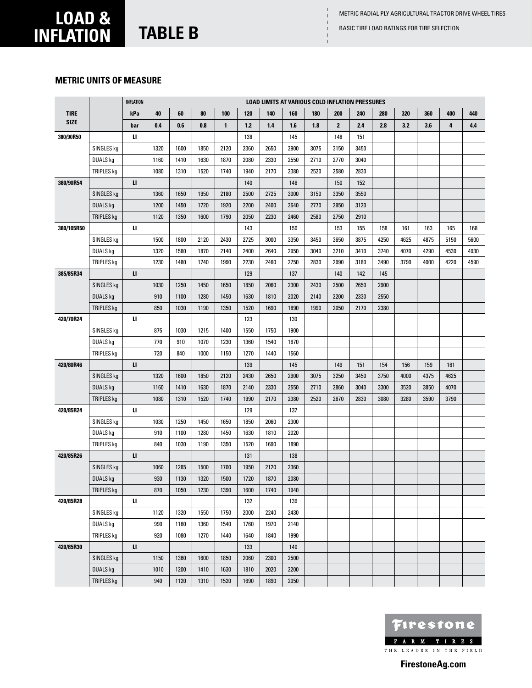### **metric units of measure**

|             |                   | <b>INFLATION</b> |      |      |      |              |       | <b>LOAD LIMITS AT VARIOUS COLD INFLATION PRESSURES</b> |      |      |              |      |      |      |      |      |      |
|-------------|-------------------|------------------|------|------|------|--------------|-------|--------------------------------------------------------|------|------|--------------|------|------|------|------|------|------|
| <b>TIRE</b> |                   | kPa              | 40   | 60   | 80   | 100          | 120   | 140                                                    | 160  | 180  | 200          | 240  | 280  | 320  | 360  | 400  | 440  |
| <b>SIZE</b> |                   | bar              | 0.4  | 0.6  | 0.8  | $\mathbf{1}$ | $1.2$ | 1.4                                                    | 1.6  | 1.8  | $\mathbf{2}$ | 2.4  | 2.8  | 3.2  | 3.6  | 4    | 4.4  |
| 380/90R50   |                   | и                |      |      |      |              | 138   |                                                        | 145  |      | 148          | 151  |      |      |      |      |      |
|             | SINGLES kg        |                  | 1320 | 1600 | 1850 | 2120         | 2360  | 2650                                                   | 2900 | 3075 | 3150         | 3450 |      |      |      |      |      |
|             | <b>DUALS</b> kg   |                  | 1160 | 1410 | 1630 | 1870         | 2080  | 2330                                                   | 2550 | 2710 | 2770         | 3040 |      |      |      |      |      |
|             | TRIPLES kg        |                  | 1080 | 1310 | 1520 | 1740         | 1940  | 2170                                                   | 2380 | 2520 | 2580         | 2830 |      |      |      |      |      |
| 380/90R54   |                   | п                |      |      |      |              | 140   |                                                        | 146  |      | 150          | 152  |      |      |      |      |      |
|             | SINGLES kg        |                  | 1360 | 1650 | 1950 | 2180         | 2500  | 2725                                                   | 3000 | 3150 | 3350         | 3550 |      |      |      |      |      |
|             | <b>DUALS kg</b>   |                  | 1200 | 1450 | 1720 | 1920         | 2200  | 2400                                                   | 2640 | 2770 | 2950         | 3120 |      |      |      |      |      |
|             | TRIPLES kg        |                  | 1120 | 1350 | 1600 | 1790         | 2050  | 2230                                                   | 2460 | 2580 | 2750         | 2910 |      |      |      |      |      |
| 380/105R50  |                   | и                |      |      |      |              | 143   |                                                        | 150  |      | 153          | 155  | 158  | 161  | 163  | 165  | 168  |
|             | SINGLES kg        |                  | 1500 | 1800 | 2120 | 2430         | 2725  | 3000                                                   | 3350 | 3450 | 3650         | 3875 | 4250 | 4625 | 4875 | 5150 | 5600 |
|             | DUALS kg          |                  | 1320 | 1580 | 1870 | 2140         | 2400  | 2640                                                   | 2950 | 3040 | 3210         | 3410 | 3740 | 4070 | 4290 | 4530 | 4930 |
|             | TRIPLES kg        |                  | 1230 | 1480 | 1740 | 1990         | 2230  | 2460                                                   | 2750 | 2830 | 2990         | 3180 | 3490 | 3790 | 4000 | 4220 | 4590 |
| 385/85R34   |                   | п                |      |      |      |              | 129   |                                                        | 137  |      | 140          | 142  | 145  |      |      |      |      |
|             | SINGLES kg        |                  | 1030 | 1250 | 1450 | 1650         | 1850  | 2060                                                   | 2300 | 2430 | 2500         | 2650 | 2900 |      |      |      |      |
|             | <b>DUALS kg</b>   |                  | 910  | 1100 | 1280 | 1450         | 1630  | 1810                                                   | 2020 | 2140 | 2200         | 2330 | 2550 |      |      |      |      |
|             | TRIPLES kg        |                  | 850  | 1030 | 1190 | 1350         | 1520  | 1690                                                   | 1890 | 1990 | 2050         | 2170 | 2380 |      |      |      |      |
| 420/70R24   |                   | ш                |      |      |      |              | 123   |                                                        | 130  |      |              |      |      |      |      |      |      |
|             | SINGLES kg        |                  | 875  | 1030 | 1215 | 1400         | 1550  | 1750                                                   | 1900 |      |              |      |      |      |      |      |      |
|             | DUALS kg          |                  | 770  | 910  | 1070 | 1230         | 1360  | 1540                                                   | 1670 |      |              |      |      |      |      |      |      |
|             | TRIPLES kg        |                  | 720  | 840  | 1000 | 1150         | 1270  | 1440                                                   | 1560 |      |              |      |      |      |      |      |      |
| 420/80R46   |                   | п                |      |      |      |              | 139   |                                                        | 145  |      | 149          | 151  | 154  | 156  | 159  | 161  |      |
|             | SINGLES kg        |                  | 1320 | 1600 | 1850 | 2120         | 2430  | 2650                                                   | 2900 | 3075 | 3250         | 3450 | 3750 | 4000 | 4375 | 4625 |      |
|             | <b>DUALS kg</b>   |                  | 1160 | 1410 | 1630 | 1870         | 2140  | 2330                                                   | 2550 | 2710 | 2860         | 3040 | 3300 | 3520 | 3850 | 4070 |      |
|             | <b>TRIPLES kg</b> |                  | 1080 | 1310 | 1520 | 1740         | 1990  | 2170                                                   | 2380 | 2520 | 2670         | 2830 | 3080 | 3280 | 3590 | 3790 |      |
| 420/85R24   |                   | и                |      |      |      |              | 129   |                                                        | 137  |      |              |      |      |      |      |      |      |
|             | SINGLES kg        |                  | 1030 | 1250 | 1450 | 1650         | 1850  | 2060                                                   | 2300 |      |              |      |      |      |      |      |      |
|             | DUALS kg          |                  | 910  | 1100 | 1280 | 1450         | 1630  | 1810                                                   | 2020 |      |              |      |      |      |      |      |      |
|             | <b>TRIPLES</b> kg |                  | 840  | 1030 | 1190 | 1350         | 1520  | 1690                                                   | 1890 |      |              |      |      |      |      |      |      |
| 420/85R26   |                   | п                |      |      |      |              | 131   |                                                        | 138  |      |              |      |      |      |      |      |      |
|             | SINGLES kg        |                  | 1060 | 1285 | 1500 | 1700         | 1950  | 2120                                                   | 2360 |      |              |      |      |      |      |      |      |
|             | <b>DUALS kg</b>   |                  | 930  | 1130 | 1320 | 1500         | 1720  | 1870                                                   | 2080 |      |              |      |      |      |      |      |      |
|             | <b>TRIPLES kg</b> |                  | 870  | 1050 | 1230 | 1390         | 1600  | 1740                                                   | 1940 |      |              |      |      |      |      |      |      |
| 420/85R28   |                   | ш                |      |      |      |              | 132   |                                                        | 139  |      |              |      |      |      |      |      |      |
|             | SINGLES kg        |                  | 1120 | 1320 | 1550 | 1750         | 2000  | 2240                                                   | 2430 |      |              |      |      |      |      |      |      |
|             | DUALS kg          |                  | 990  | 1160 | 1360 | 1540         | 1760  | 1970                                                   | 2140 |      |              |      |      |      |      |      |      |
|             | <b>TRIPLES</b> kg |                  | 920  | 1080 | 1270 | 1440         | 1640  | 1840                                                   | 1990 |      |              |      |      |      |      |      |      |
| 420/85R30   |                   | ш                |      |      |      |              | 133   |                                                        | 140  |      |              |      |      |      |      |      |      |
|             | SINGLES kg        |                  | 1150 | 1360 | 1600 | 1850         | 2060  | 2300                                                   | 2500 |      |              |      |      |      |      |      |      |
|             | DUALS kg          |                  | 1010 | 1200 | 1410 | 1630         | 1810  | 2020                                                   | 2200 |      |              |      |      |      |      |      |      |
|             | <b>TRIPLES kg</b> |                  | 940  | 1120 | 1310 | 1520         | 1690  | 1890                                                   | 2050 |      |              |      |      |      |      |      |      |

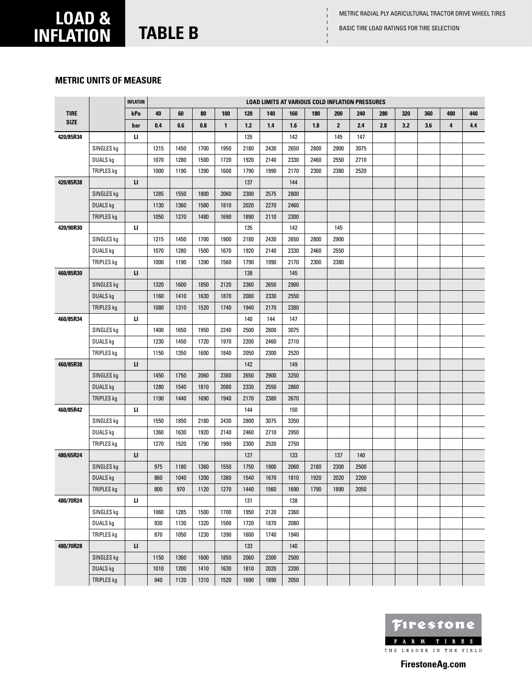# **load & inflation TABLE B BASIC TIRE LOAD RATINGS FOR TIRE SELECTION**

### **metric units of measure**

|             |                   | <b>INFLATION</b> |      |      |      |              |       | <b>LOAD LIMITS AT VARIOUS COLD INFLATION PRESSURES</b> |      |      |              |      |     |     |     |     |     |
|-------------|-------------------|------------------|------|------|------|--------------|-------|--------------------------------------------------------|------|------|--------------|------|-----|-----|-----|-----|-----|
| <b>TIRE</b> |                   | kPa              | 40   | 60   | 80   | 100          | 120   | 140                                                    | 160  | 180  | 200          | 240  | 280 | 320 | 360 | 400 | 440 |
| <b>SIZE</b> |                   | bar              | 0.4  | 0.6  | 0.8  | $\mathbf{1}$ | $1.2$ | 1.4                                                    | 1.6  | 1.8  | $\mathbf{2}$ | 2.4  | 2.8 | 3.2 | 3.6 | 4   | 4.4 |
| 420/85R34   |                   | и                |      |      |      |              | 135   |                                                        | 142  |      | 145          | 147  |     |     |     |     |     |
|             | SINGLES kg        |                  | 1215 | 1450 | 1700 | 1950         | 2180  | 2430                                                   | 2650 | 2800 | 2900         | 3075 |     |     |     |     |     |
|             | DUALS kg          |                  | 1070 | 1280 | 1500 | 1720         | 1920  | 2140                                                   | 2330 | 2460 | 2550         | 2710 |     |     |     |     |     |
|             | TRIPLES kg        |                  | 1000 | 1190 | 1390 | 1600         | 1790  | 1990                                                   | 2170 | 2300 | 2380         | 2520 |     |     |     |     |     |
| 420/85R38   |                   | п                |      |      |      |              | 137   |                                                        | 144  |      |              |      |     |     |     |     |     |
|             | SINGLES kg        |                  | 1285 | 1550 | 1800 | 2060         | 2300  | 2575                                                   | 2800 |      |              |      |     |     |     |     |     |
|             | <b>DUALS kg</b>   |                  | 1130 | 1360 | 1580 | 1810         | 2020  | 2270                                                   | 2460 |      |              |      |     |     |     |     |     |
|             | TRIPLES kg        |                  | 1050 | 1270 | 1480 | 1690         | 1890  | 2110                                                   | 2300 |      |              |      |     |     |     |     |     |
| 420/90R30   |                   | и                |      |      |      |              | 135   |                                                        | 142  |      | 145          |      |     |     |     |     |     |
|             | SINGLES kg        |                  | 1215 | 1450 | 1700 | 1900         | 2180  | 2430                                                   | 2650 | 2800 | 2900         |      |     |     |     |     |     |
|             | DUALS kg          |                  | 1070 | 1280 | 1500 | 1670         | 1920  | 2140                                                   | 2330 | 2460 | 2550         |      |     |     |     |     |     |
|             | TRIPLES kg        |                  | 1000 | 1190 | 1390 | 1560         | 1790  | 1990                                                   | 2170 | 2300 | 2380         |      |     |     |     |     |     |
| 460/85R30   |                   | п                |      |      |      |              | 138   |                                                        | 145  |      |              |      |     |     |     |     |     |
|             | SINGLES kg        |                  | 1320 | 1600 | 1850 | 2120         | 2360  | 2650                                                   | 2900 |      |              |      |     |     |     |     |     |
|             | DUALS kg          |                  | 1160 | 1410 | 1630 | 1870         | 2080  | 2330                                                   | 2550 |      |              |      |     |     |     |     |     |
|             | TRIPLES kg        |                  | 1080 | 1310 | 1520 | 1740         | 1940  | 2170                                                   | 2380 |      |              |      |     |     |     |     |     |
| 460/85R34   |                   | ц                |      |      |      |              | 140   | 144                                                    | 147  |      |              |      |     |     |     |     |     |
|             | SINGLES kg        |                  | 1400 | 1650 | 1950 | 2240         | 2500  | 2800                                                   | 3075 |      |              |      |     |     |     |     |     |
|             | DUALS kg          |                  | 1230 | 1450 | 1720 | 1970         | 2200  | 2460                                                   | 2710 |      |              |      |     |     |     |     |     |
|             | TRIPLES kg        |                  | 1150 | 1350 | 1600 | 1840         | 2050  | 2300                                                   | 2520 |      |              |      |     |     |     |     |     |
| 460/85R38   |                   | п                |      |      |      |              | 142   |                                                        | 149  |      |              |      |     |     |     |     |     |
|             | SINGLES kg        |                  | 1450 | 1750 | 2060 | 2360         | 2650  | 2900                                                   | 3250 |      |              |      |     |     |     |     |     |
|             | <b>DUALS kg</b>   |                  | 1280 | 1540 | 1810 | 2080         | 2330  | 2550                                                   | 2860 |      |              |      |     |     |     |     |     |
|             | <b>TRIPLES kg</b> |                  | 1190 | 1440 | 1690 | 1940         | 2170  | 2380                                                   | 2670 |      |              |      |     |     |     |     |     |
| 460/85R42   |                   | и                |      |      |      |              | 144   |                                                        | 150  |      |              |      |     |     |     |     |     |
|             | SINGLES kg        |                  | 1550 | 1850 | 2180 | 2430         | 2800  | 3075                                                   | 3350 |      |              |      |     |     |     |     |     |
|             | DUALS kg          |                  | 1360 | 1630 | 1920 | 2140         | 2460  | 2710                                                   | 2950 |      |              |      |     |     |     |     |     |
|             | TRIPLES kg        |                  | 1270 | 1520 | 1790 | 1990         | 2300  | 2520                                                   | 2750 |      |              |      |     |     |     |     |     |
| 480/65R24   |                   | и                |      |      |      |              | 127   |                                                        | 133  |      | 137          | 140  |     |     |     |     |     |
|             | SINGLES kg        |                  | 975  | 1180 | 1360 | 1550         | 1750  | 1900                                                   | 2060 | 2180 | 2300         | 2500 |     |     |     |     |     |
|             | <b>DUALS kg</b>   |                  | 860  | 1040 | 1200 | 1360         | 1540  | 1670                                                   | 1810 | 1920 | 2020         | 2200 |     |     |     |     |     |
|             | <b>TRIPLES kg</b> |                  | 800  | 970  | 1120 | 1270         | 1440  | 1560                                                   | 1690 | 1790 | 1890         | 2050 |     |     |     |     |     |
| 480/70R24   |                   | ц                |      |      |      |              | 131   |                                                        | 138  |      |              |      |     |     |     |     |     |
|             | SINGLES kg        |                  | 1060 | 1285 | 1500 | 1700         | 1950  | 2120                                                   | 2360 |      |              |      |     |     |     |     |     |
|             | DUALS kg          |                  | 930  | 1130 | 1320 | 1500         | 1720  | 1870                                                   | 2080 |      |              |      |     |     |     |     |     |
|             | TRIPLES kg        |                  | 870  | 1050 | 1230 | 1390         | 1600  | 1740                                                   | 1940 |      |              |      |     |     |     |     |     |
| 480/70R28   |                   | п                |      |      |      |              | 133   |                                                        | 140  |      |              |      |     |     |     |     |     |
|             | SINGLES kg        |                  | 1150 | 1360 | 1600 | 1850         | 2060  | 2300                                                   | 2500 |      |              |      |     |     |     |     |     |
|             | DUALS kg          |                  | 1010 | 1200 | 1410 | 1630         | 1810  | 2020                                                   | 2200 |      |              |      |     |     |     |     |     |
|             | TRIPLES kg        |                  | 940  | 1120 | 1310 | 1520         | 1690  | 1890                                                   | 2050 |      |              |      |     |     |     |     |     |

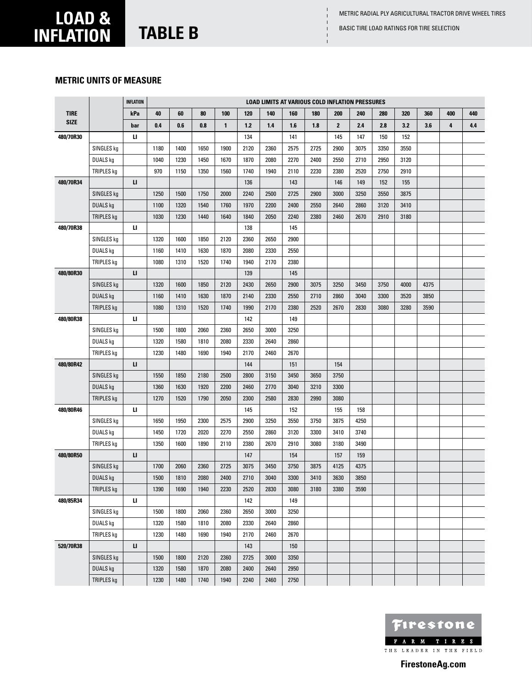#### **metric units of measure**

|             |                   | <b>INFLATION</b> |      |      |      |              |       |      | <b>LOAD LIMITS AT VARIOUS COLD INFLATION PRESSURES</b> |      |              |      |      |      |      |     |     |
|-------------|-------------------|------------------|------|------|------|--------------|-------|------|--------------------------------------------------------|------|--------------|------|------|------|------|-----|-----|
| <b>TIRE</b> |                   | kPa              | 40   | 60   | 80   | 100          | 120   | 140  | 160                                                    | 180  | 200          | 240  | 280  | 320  | 360  | 400 | 440 |
| <b>SIZE</b> |                   | bar              | 0.4  | 0.6  | 0.8  | $\mathbf{1}$ | $1.2$ | 1.4  | 1.6                                                    | 1.8  | $\mathbf{2}$ | 2.4  | 2.8  | 3.2  | 3.6  | 4   | 4.4 |
| 480/70R30   |                   | и                |      |      |      |              | 134   |      | 141                                                    |      | 145          | 147  | 150  | 152  |      |     |     |
|             | SINGLES kg        |                  | 1180 | 1400 | 1650 | 1900         | 2120  | 2360 | 2575                                                   | 2725 | 2900         | 3075 | 3350 | 3550 |      |     |     |
|             | <b>DUALS</b> kg   |                  | 1040 | 1230 | 1450 | 1670         | 1870  | 2080 | 2270                                                   | 2400 | 2550         | 2710 | 2950 | 3120 |      |     |     |
|             | TRIPLES kg        |                  | 970  | 1150 | 1350 | 1560         | 1740  | 1940 | 2110                                                   | 2230 | 2380         | 2520 | 2750 | 2910 |      |     |     |
| 480/70R34   |                   | п                |      |      |      |              | 136   |      | 143                                                    |      | 146          | 149  | 152  | 155  |      |     |     |
|             | SINGLES kg        |                  | 1250 | 1500 | 1750 | 2000         | 2240  | 2500 | 2725                                                   | 2900 | 3000         | 3250 | 3550 | 3875 |      |     |     |
|             | DUALS kg          |                  | 1100 | 1320 | 1540 | 1760         | 1970  | 2200 | 2400                                                   | 2550 | 2640         | 2860 | 3120 | 3410 |      |     |     |
|             | TRIPLES kg        |                  | 1030 | 1230 | 1440 | 1640         | 1840  | 2050 | 2240                                                   | 2380 | 2460         | 2670 | 2910 | 3180 |      |     |     |
| 480/70R38   |                   | и                |      |      |      |              | 138   |      | 145                                                    |      |              |      |      |      |      |     |     |
|             | SINGLES kg        |                  | 1320 | 1600 | 1850 | 2120         | 2360  | 2650 | 2900                                                   |      |              |      |      |      |      |     |     |
|             | DUALS kg          |                  | 1160 | 1410 | 1630 | 1870         | 2080  | 2330 | 2550                                                   |      |              |      |      |      |      |     |     |
|             | TRIPLES kg        |                  | 1080 | 1310 | 1520 | 1740         | 1940  | 2170 | 2380                                                   |      |              |      |      |      |      |     |     |
| 480/80R30   |                   | п                |      |      |      |              | 139   |      | 145                                                    |      |              |      |      |      |      |     |     |
|             | SINGLES kg        |                  | 1320 | 1600 | 1850 | 2120         | 2430  | 2650 | 2900                                                   | 3075 | 3250         | 3450 | 3750 | 4000 | 4375 |     |     |
|             | <b>DUALS kg</b>   |                  | 1160 | 1410 | 1630 | 1870         | 2140  | 2330 | 2550                                                   | 2710 | 2860         | 3040 | 3300 | 3520 | 3850 |     |     |
|             | TRIPLES kg        |                  | 1080 | 1310 | 1520 | 1740         | 1990  | 2170 | 2380                                                   | 2520 | 2670         | 2830 | 3080 | 3280 | 3590 |     |     |
| 480/80R38   |                   | и                |      |      |      |              | 142   |      | 149                                                    |      |              |      |      |      |      |     |     |
|             | SINGLES kg        |                  | 1500 | 1800 | 2060 | 2360         | 2650  | 3000 | 3250                                                   |      |              |      |      |      |      |     |     |
|             | DUALS kg          |                  | 1320 | 1580 | 1810 | 2080         | 2330  | 2640 | 2860                                                   |      |              |      |      |      |      |     |     |
|             | TRIPLES kg        |                  | 1230 | 1480 | 1690 | 1940         | 2170  | 2460 | 2670                                                   |      |              |      |      |      |      |     |     |
| 480/80R42   |                   | п                |      |      |      |              | 144   |      | 151                                                    |      | 154          |      |      |      |      |     |     |
|             | SINGLES kg        |                  | 1550 | 1850 | 2180 | 2500         | 2800  | 3150 | 3450                                                   | 3650 | 3750         |      |      |      |      |     |     |
|             | <b>DUALS kg</b>   |                  | 1360 | 1630 | 1920 | 2200         | 2460  | 2770 | 3040                                                   | 3210 | 3300         |      |      |      |      |     |     |
|             | <b>TRIPLES kg</b> |                  | 1270 | 1520 | 1790 | 2050         | 2300  | 2580 | 2830                                                   | 2990 | 3080         |      |      |      |      |     |     |
| 480/80R46   |                   | и                |      |      |      |              | 145   |      | 152                                                    |      | 155          | 158  |      |      |      |     |     |
|             | SINGLES kg        |                  | 1650 | 1950 | 2300 | 2575         | 2900  | 3250 | 3550                                                   | 3750 | 3875         | 4250 |      |      |      |     |     |
|             | DUALS kg          |                  | 1450 | 1720 | 2020 | 2270         | 2550  | 2860 | 3120                                                   | 3300 | 3410         | 3740 |      |      |      |     |     |
|             | TRIPLES kg        |                  | 1350 | 1600 | 1890 | 2110         | 2380  | 2670 | 2910                                                   | 3080 | 3180         | 3490 |      |      |      |     |     |
| 480/80R50   |                   | п                |      |      |      |              | 147   |      | 154                                                    |      | 157          | 159  |      |      |      |     |     |
|             | SINGLES kg        |                  | 1700 | 2060 | 2360 | 2725         | 3075  | 3450 | 3750                                                   | 3875 | 4125         | 4375 |      |      |      |     |     |
|             | <b>DUALS</b> kg   |                  | 1500 | 1810 | 2080 | 2400         | 2710  | 3040 | 3300                                                   | 3410 | 3630         | 3850 |      |      |      |     |     |
|             | <b>TRIPLES kg</b> |                  | 1390 | 1690 | 1940 | 2230         | 2520  | 2830 | 3080                                                   | 3180 | 3380         | 3590 |      |      |      |     |     |
| 480/85R34   |                   | п                |      |      |      |              | 142   |      | 149                                                    |      |              |      |      |      |      |     |     |
|             | SINGLES kg        |                  | 1500 | 1800 | 2060 | 2360         | 2650  | 3000 | 3250                                                   |      |              |      |      |      |      |     |     |
|             | DUALS kg          |                  | 1320 | 1580 | 1810 | 2080         | 2330  | 2640 | 2860                                                   |      |              |      |      |      |      |     |     |
|             | TRIPLES kg        |                  | 1230 | 1480 | 1690 | 1940         | 2170  | 2460 | 2670                                                   |      |              |      |      |      |      |     |     |
| 520/70R38   |                   | п                |      |      |      |              | 143   |      | 150                                                    |      |              |      |      |      |      |     |     |
|             | SINGLES kg        |                  | 1500 | 1800 | 2120 | 2360         | 2725  | 3000 | 3350                                                   |      |              |      |      |      |      |     |     |
|             | DUALS kg          |                  | 1320 | 1580 | 1870 | 2080         | 2400  | 2640 | 2950                                                   |      |              |      |      |      |      |     |     |
|             | TRIPLES kg        |                  | 1230 | 1480 | 1740 | 1940         | 2240  | 2460 | 2750                                                   |      |              |      |      |      |      |     |     |

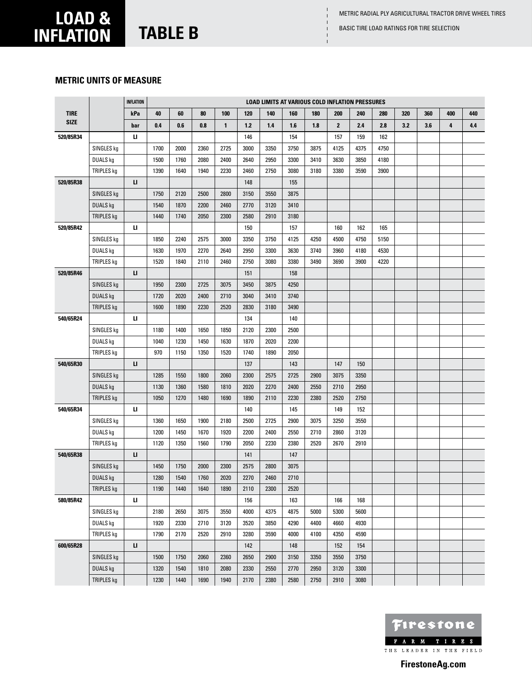#### **metric units of measure**

|             |                 | <b>INFLATION</b> |      |      |      |              |       |      | <b>LOAD LIMITS AT VARIOUS COLD INFLATION PRESSURES</b> |      |              |      |      |     |     |     |     |
|-------------|-----------------|------------------|------|------|------|--------------|-------|------|--------------------------------------------------------|------|--------------|------|------|-----|-----|-----|-----|
| <b>TIRE</b> |                 | kPa              | 40   | 60   | 80   | 100          | 120   | 140  | 160                                                    | 180  | 200          | 240  | 280  | 320 | 360 | 400 | 440 |
| <b>SIZE</b> |                 | bar              | 0.4  | 0.6  | 0.8  | $\mathbf{1}$ | $1.2$ | 1.4  | 1.6                                                    | 1.8  | $\mathbf{2}$ | 2.4  | 2.8  | 3.2 | 3.6 | 4   | 4.4 |
| 520/85R34   |                 | u.               |      |      |      |              | 146   |      | 154                                                    |      | 157          | 159  | 162  |     |     |     |     |
|             | SINGLES kg      |                  | 1700 | 2000 | 2360 | 2725         | 3000  | 3350 | 3750                                                   | 3875 | 4125         | 4375 | 4750 |     |     |     |     |
|             | DUALS kg        |                  | 1500 | 1760 | 2080 | 2400         | 2640  | 2950 | 3300                                                   | 3410 | 3630         | 3850 | 4180 |     |     |     |     |
|             | TRIPLES kg      |                  | 1390 | 1640 | 1940 | 2230         | 2460  | 2750 | 3080                                                   | 3180 | 3380         | 3590 | 3900 |     |     |     |     |
| 520/85R38   |                 | п                |      |      |      |              | 148   |      | 155                                                    |      |              |      |      |     |     |     |     |
|             | SINGLES kg      |                  | 1750 | 2120 | 2500 | 2800         | 3150  | 3550 | 3875                                                   |      |              |      |      |     |     |     |     |
|             | <b>DUALS kg</b> |                  | 1540 | 1870 | 2200 | 2460         | 2770  | 3120 | 3410                                                   |      |              |      |      |     |     |     |     |
|             | TRIPLES kg      |                  | 1440 | 1740 | 2050 | 2300         | 2580  | 2910 | 3180                                                   |      |              |      |      |     |     |     |     |
| 520/85R42   |                 | ш                |      |      |      |              | 150   |      | 157                                                    |      | 160          | 162  | 165  |     |     |     |     |
|             | SINGLES kg      |                  | 1850 | 2240 | 2575 | 3000         | 3350  | 3750 | 4125                                                   | 4250 | 4500         | 4750 | 5150 |     |     |     |     |
|             | DUALS kg        |                  | 1630 | 1970 | 2270 | 2640         | 2950  | 3300 | 3630                                                   | 3740 | 3960         | 4180 | 4530 |     |     |     |     |
|             | TRIPLES kg      |                  | 1520 | 1840 | 2110 | 2460         | 2750  | 3080 | 3380                                                   | 3490 | 3690         | 3900 | 4220 |     |     |     |     |
| 520/85R46   |                 | п                |      |      |      |              | 151   |      | 158                                                    |      |              |      |      |     |     |     |     |
|             | SINGLES kg      |                  | 1950 | 2300 | 2725 | 3075         | 3450  | 3875 | 4250                                                   |      |              |      |      |     |     |     |     |
|             | <b>DUALS kg</b> |                  | 1720 | 2020 | 2400 | 2710         | 3040  | 3410 | 3740                                                   |      |              |      |      |     |     |     |     |
|             | TRIPLES kg      |                  | 1600 | 1890 | 2230 | 2520         | 2830  | 3180 | 3490                                                   |      |              |      |      |     |     |     |     |
| 540/65R24   |                 | ш                |      |      |      |              | 134   |      | 140                                                    |      |              |      |      |     |     |     |     |
|             | SINGLES kg      |                  | 1180 | 1400 | 1650 | 1850         | 2120  | 2300 | 2500                                                   |      |              |      |      |     |     |     |     |
|             | DUALS kg        |                  | 1040 | 1230 | 1450 | 1630         | 1870  | 2020 | 2200                                                   |      |              |      |      |     |     |     |     |
|             | TRIPLES kg      |                  | 970  | 1150 | 1350 | 1520         | 1740  | 1890 | 2050                                                   |      |              |      |      |     |     |     |     |
| 540/65R30   |                 | п                |      |      |      |              | 137   |      | 143                                                    |      | 147          | 150  |      |     |     |     |     |
|             | SINGLES kg      |                  | 1285 | 1550 | 1800 | 2060         | 2300  | 2575 | 2725                                                   | 2900 | 3075         | 3350 |      |     |     |     |     |
|             | <b>DUALS kg</b> |                  | 1130 | 1360 | 1580 | 1810         | 2020  | 2270 | 2400                                                   | 2550 | 2710         | 2950 |      |     |     |     |     |
|             | TRIPLES kg      |                  | 1050 | 1270 | 1480 | 1690         | 1890  | 2110 | 2230                                                   | 2380 | 2520         | 2750 |      |     |     |     |     |
| 540/65R34   |                 | ш                |      |      |      |              | 140   |      | 145                                                    |      | 149          | 152  |      |     |     |     |     |
|             | SINGLES kg      |                  | 1360 | 1650 | 1900 | 2180         | 2500  | 2725 | 2900                                                   | 3075 | 3250         | 3550 |      |     |     |     |     |
|             | DUALS kg        |                  | 1200 | 1450 | 1670 | 1920         | 2200  | 2400 | 2550                                                   | 2710 | 2860         | 3120 |      |     |     |     |     |
|             | TRIPLES kg      |                  | 1120 | 1350 | 1560 | 1790         | 2050  | 2230 | 2380                                                   | 2520 | 2670         | 2910 |      |     |     |     |     |
| 540/65R38   |                 | IJ.              |      |      |      |              | 141   |      | 147                                                    |      |              |      |      |     |     |     |     |
|             | SINGLES kg      |                  | 1450 | 1750 | 2000 | 2300         | 2575  | 2800 | 3075                                                   |      |              |      |      |     |     |     |     |
|             | <b>DUALS kg</b> |                  | 1280 | 1540 | 1760 | 2020         | 2270  | 2460 | 2710                                                   |      |              |      |      |     |     |     |     |
|             | TRIPLES kg      |                  | 1190 | 1440 | 1640 | 1890         | 2110  | 2300 | 2520                                                   |      |              |      |      |     |     |     |     |
| 580/85R42   |                 | ш                |      |      |      |              | 156   |      | 163                                                    |      | 166          | 168  |      |     |     |     |     |
|             | SINGLES kg      |                  | 2180 | 2650 | 3075 | 3550         | 4000  | 4375 | 4875                                                   | 5000 | 5300         | 5600 |      |     |     |     |     |
|             | DUALS kg        |                  | 1920 | 2330 | 2710 | 3120         | 3520  | 3850 | 4290                                                   | 4400 | 4660         | 4930 |      |     |     |     |     |
|             | TRIPLES kg      |                  | 1790 | 2170 | 2520 | 2910         | 3280  | 3590 | 4000                                                   | 4100 | 4350         | 4590 |      |     |     |     |     |
| 600/65R28   |                 | п                |      |      |      |              | 142   |      | 148                                                    |      | 152          | 154  |      |     |     |     |     |
|             | SINGLES kg      |                  | 1500 | 1750 | 2060 | 2360         | 2650  | 2900 | 3150                                                   | 3350 | 3550         | 3750 |      |     |     |     |     |
|             | <b>DUALS kg</b> |                  | 1320 | 1540 | 1810 | 2080         | 2330  | 2550 | 2770                                                   | 2950 | 3120         | 3300 |      |     |     |     |     |
|             | TRIPLES kg      |                  | 1230 | 1440 | 1690 | 1940         | 2170  | 2380 | 2580                                                   | 2750 | 2910         | 3080 |      |     |     |     |     |

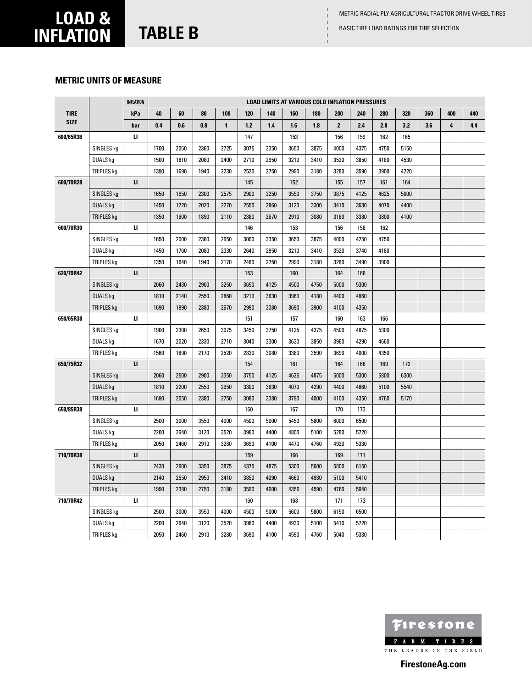### **metric units of measure**

|             |                   | <b>INFLATION</b> |      |      |      |              |       | <b>LOAD LIMITS AT VARIOUS COLD INFLATION PRESSURES</b> |      |      |              |      |      |      |     |     |     |
|-------------|-------------------|------------------|------|------|------|--------------|-------|--------------------------------------------------------|------|------|--------------|------|------|------|-----|-----|-----|
| <b>TIRE</b> |                   | kPa              | 40   | 60   | 80   | 100          | 120   | 140                                                    | 160  | 180  | 200          | 240  | 280  | 320  | 360 | 400 | 440 |
| <b>SIZE</b> |                   | bar              | 0.4  | 0.6  | 0.8  | $\mathbf{1}$ | $1.2$ | 1.4                                                    | 1.6  | 1.8  | $\mathbf{2}$ | 2.4  | 2.8  | 3.2  | 3.6 | 4   | 4.4 |
| 600/65R38   |                   | п                |      |      |      |              | 147   |                                                        | 153  |      | 156          | 159  | 162  | 165  |     |     |     |
|             | SINGLES kg        |                  | 1700 | 2060 | 2360 | 2725         | 3075  | 3350                                                   | 3650 | 3875 | 4000         | 4375 | 4750 | 5150 |     |     |     |
|             | DUALS kg          |                  | 1500 | 1810 | 2080 | 2400         | 2710  | 2950                                                   | 3210 | 3410 | 3520         | 3850 | 4180 | 4530 |     |     |     |
|             | TRIPLES kg        |                  | 1390 | 1690 | 1940 | 2230         | 2520  | 2750                                                   | 2990 | 3180 | 3280         | 3590 | 3900 | 4220 |     |     |     |
| 600/70R28   |                   | $\mathbf{u}$     |      |      |      |              | 145   |                                                        | 152  |      | 155          | 157  | 161  | 164  |     |     |     |
|             | SINGLES kg        |                  | 1650 | 1950 | 2300 | 2575         | 2900  | 3250                                                   | 3550 | 3750 | 3875         | 4125 | 4625 | 5000 |     |     |     |
|             | <b>DUALS kg</b>   |                  | 1450 | 1720 | 2020 | 2270         | 2550  | 2860                                                   | 3120 | 3300 | 3410         | 3630 | 4070 | 4400 |     |     |     |
|             | TRIPLES kg        |                  | 1350 | 1600 | 1890 | 2110         | 2380  | 2670                                                   | 2910 | 3080 | 3180         | 3380 | 3800 | 4100 |     |     |     |
| 600/70R30   |                   | п                |      |      |      |              | 146   |                                                        | 153  |      | 156          | 158  | 162  |      |     |     |     |
|             | SINGLES kg        |                  | 1650 | 2000 | 2360 | 2650         | 3000  | 3350                                                   | 3650 | 3875 | 4000         | 4250 | 4750 |      |     |     |     |
|             | DUALS kg          |                  | 1450 | 1760 | 2080 | 2330         | 2640  | 2950                                                   | 3210 | 3410 | 3520         | 3740 | 4180 |      |     |     |     |
|             | <b>TRIPLES</b> kg |                  | 1350 | 1640 | 1940 | 2170         | 2460  | 2750                                                   | 2990 | 3180 | 3280         | 3490 | 3900 |      |     |     |     |
| 620/70R42   |                   | LI.              |      |      |      |              | 153   |                                                        | 160  |      | 164          | 166  |      |      |     |     |     |
|             | SINGLES kg        |                  | 2060 | 2430 | 2900 | 3250         | 3650  | 4125                                                   | 4500 | 4750 | 5000         | 5300 |      |      |     |     |     |
|             | <b>DUALS kg</b>   |                  | 1810 | 2140 | 2550 | 2860         | 3210  | 3630                                                   | 3960 | 4180 | 4400         | 4660 |      |      |     |     |     |
|             | <b>TRIPLES kg</b> |                  | 1690 | 1990 | 2380 | 2670         | 2990  | 3380                                                   | 3690 | 3900 | 4100         | 4350 |      |      |     |     |     |
| 650/65R38   |                   | ш                |      |      |      |              | 151   |                                                        | 157  |      | 160          | 163  | 166  |      |     |     |     |
|             | SINGLES kg        |                  | 1900 | 2300 | 2650 | 3075         | 3450  | 3750                                                   | 4125 | 4375 | 4500         | 4875 | 5300 |      |     |     |     |
|             | DUALS kg          |                  | 1670 | 2020 | 2330 | 2710         | 3040  | 3300                                                   | 3630 | 3850 | 3960         | 4290 | 4660 |      |     |     |     |
|             | TRIPLES kg        |                  | 1560 | 1890 | 2170 | 2520         | 2830  | 3080                                                   | 3380 | 3590 | 3690         | 4000 | 4350 |      |     |     |     |
| 650/75R32   |                   | п                |      |      |      |              | 154   |                                                        | 161  |      | 164          | 166  | 169  | 172  |     |     |     |
|             | SINGLES kg        |                  | 2060 | 2500 | 2900 | 3350         | 3750  | 4125                                                   | 4625 | 4875 | 5000         | 5300 | 5800 | 6300 |     |     |     |
|             | <b>DUALS kg</b>   |                  | 1810 | 2200 | 2550 | 2950         | 3300  | 3630                                                   | 4070 | 4290 | 4400         | 4660 | 5100 | 5540 |     |     |     |
|             | TRIPLES kg        |                  | 1690 | 2050 | 2380 | 2750         | 3080  | 3380                                                   | 3790 | 4000 | 4100         | 4350 | 4760 | 5170 |     |     |     |
| 650/85R38   |                   | п                |      |      |      |              | 160   |                                                        | 167  |      | 170          | 173  |      |      |     |     |     |
|             | SINGLES kg        |                  | 2500 | 3000 | 3550 | 4000         | 4500  | 5000                                                   | 5450 | 5800 | 6000         | 6500 |      |      |     |     |     |
|             | DUALS kg          |                  | 2200 | 2640 | 3120 | 3520         | 3960  | 4400                                                   | 4800 | 5100 | 5280         | 5720 |      |      |     |     |     |
|             | TRIPLES kg        |                  | 2050 | 2460 | 2910 | 3280         | 3690  | 4100                                                   | 4470 | 4760 | 4920         | 5330 |      |      |     |     |     |
| 710/70R38   |                   | п                |      |      |      |              | 159   |                                                        | 166  |      | 169          | 171  |      |      |     |     |     |
|             | SINGLES kg        |                  | 2430 | 2900 | 3350 | 3875         | 4375  | 4875                                                   | 5300 | 5600 | 5800         | 6150 |      |      |     |     |     |
|             | <b>DUALS kg</b>   |                  | 2140 | 2550 | 2950 | 3410         | 3850  | 4290                                                   | 4660 | 4930 | 5100         | 5410 |      |      |     |     |     |
|             | TRIPLES kg        |                  | 1990 | 2380 | 2750 | 3180         | 3590  | 4000                                                   | 4350 | 4590 | 4760         | 5040 |      |      |     |     |     |
| 710/70R42   |                   | и                |      |      |      |              | 160   |                                                        | 168  |      | 171          | 173  |      |      |     |     |     |
|             | SINGLES kg        |                  | 2500 | 3000 | 3550 | 4000         | 4500  | 5000                                                   | 5600 | 5800 | 6150         | 6500 |      |      |     |     |     |
|             | <b>DUALS kg</b>   |                  | 2200 | 2640 | 3120 | 3520         | 3960  | 4400                                                   | 4930 | 5100 | 5410         | 5720 |      |      |     |     |     |
|             | TRIPLES kg        |                  | 2050 | 2460 | 2910 | 3280         | 3690  | 4100                                                   | 4590 | 4760 | 5040         | 5330 |      |      |     |     |     |